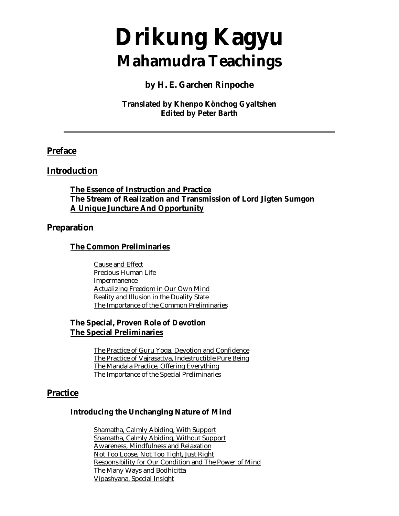# **Drikung Kagyu Mahamudra Teachings**

#### **by H. E. Garchen Rinpoche**

#### **Translated by Khenpo Könchog Gyaltshen Edited by Peter Barth**

#### **Preface**

#### **Introduction**

**The Essence of Instruction and Practice The Stream of Realization and Transmission of Lord Jigten Sumgon A Unique Juncture And Opportunity**

#### **Preparation**

#### **The Common Preliminaries**

Cause and Effect Precious Human Life Impermanence Actualizing Freedom in Our Own Mind Reality and Illusion in the Duality State The Importance of the Common Preliminaries

#### **The Special, Proven Role of Devotion The Special Preliminaries**

The Practice of Guru Yoga, Devotion and Confidence The Practice of Vajrasattva, Indestructible Pure Being The Mandala Practice, Offering Everything The Importance of the Special Preliminaries

#### **Practice**

#### **Introducing the Unchanging Nature of Mind**

Shamatha, Calmly Abiding, With Support Shamatha, Calmly Abiding, Without Support Awareness, Mindfulness and Relaxation Not Too Loose, Not Too Tight, Just Right Responsibility for Our Condition and The Power of Mind The Many Ways and Bodhicitta Vipashyana, Special Insight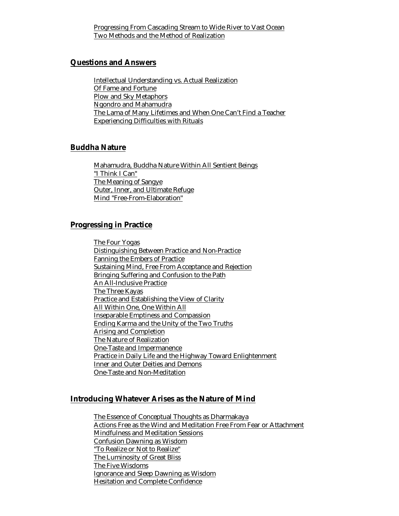Progressing From Cascading Stream to Wide River to Vast Ocean Two Methods and the Method of Realization

#### **Questions and Answers**

Intellectual Understanding vs. Actual Realization Of Fame and Fortune Plow and Sky Metaphors Ngondro and Mahamudra The Lama of Many Lifetimes and When One Can't Find a Teacher Experiencing Difficulties with Rituals

#### **Buddha Nature**

Mahamudra, Buddha Nature Within All Sentient Beings "I Think I Can" The Meaning of Sangye Outer, Inner, and Ultimate Refuge Mind "Free-From-Elaboration"

#### **Progressing in Practice**

The Four Yogas Distinguishing Between Practice and Non-Practice Fanning the Embers of Practice Sustaining Mind, Free From Acceptance and Rejection Bringing Suffering and Confusion to the Path An All-Inclusive Practice The Three Kayas Practice and Establishing the View of Clarity All Within One, One Within All Inseparable Emptiness and Compassion Ending Karma and the Unity of the Two Truths Arising and Completion The Nature of Realization One-Taste and Impermanence Practice in Daily Life and the Highway Toward Enlightenment Inner and Outer Deities and Demons One-Taste and Non-Meditation

#### **Introducing Whatever Arises as the Nature of Mind**

The Essence of Conceptual Thoughts as Dharmakaya Actions Free as the Wind and Meditation Free From Fear or Attachment Mindfulness and Meditation Sessions Confusion Dawning as Wisdom "To Realize or Not to Realize" The Luminosity of Great Bliss The Five Wisdoms Ignorance and Sleep Dawning as Wisdom Hesitation and Complete Confidence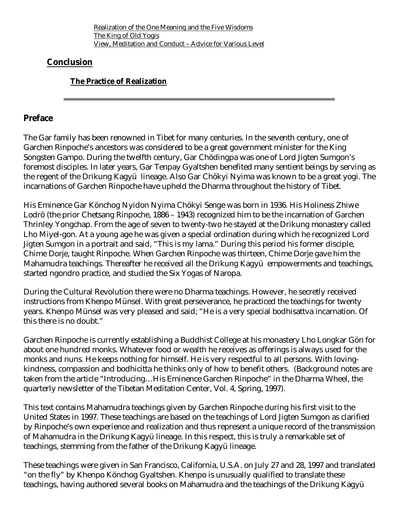Realization of the One Meaning and the Five Wisdoms The King of Old Yogis View, Meditation and Conduct – Advice for Various Level

#### **Conclusion**

#### **The Practice of Realization**

#### **Preface**

The Gar family has been renowned in Tibet for many centuries. In the seventh century, one of Garchen Rinpoche's ancestors was considered to be a great government minister for the King Songsten Gampo. During the twelfth century, Gar Chödingpa was one of Lord Jigten Sumgon's foremost disciples. In later years, Gar Tenpay Gyaltshen benefited many sentient beings by serving as the regent of the Drikung Kagyü lineage. Also Gar Chökyi Nyima was known to be a great yogi. The incarnations of Garchen Rinpoche have upheld the Dharma throughout the history of Tibet.

His Eminence Gar Könchog Nyidon Nyima Chökyi Senge was born in 1936. His Holiness Zhiwe Lodrö (the prior Chetsang Rinpoche, 1886 – 1943) recognized him to be the incarnation of Garchen Thrinley Yongchap. From the age of seven to twenty-two he stayed at the Drikung monastery called Lho Miyel-gon. At a young age he was given a special ordination during which he recognized Lord Jigten Sumgon in a portrait and said, "This is my lama." During this period his former disciple, Chime Dorje, taught Rinpoche. When Garchen Rinpoche was thirteen, Chime Dorje gave him the Mahamudra teachings. Thereafter he received all the Drikung Kagyü empowerments and teachings, started ngondro practice, and studied the Six Yogas of Naropa.

During the Cultural Revolution there were no Dharma teachings. However, he secretly received instructions from Khenpo Münsel. With great perseverance, he practiced the teachings for twenty years. Khenpo Münsel was very pleased and said; "He is a very special bodhisattva incarnation. Of this there is no doubt."

Garchen Rinpoche is currently establishing a Buddhist College at his monastery Lho Longkar Gön for about one hundred monks. Whatever food or wealth he receives as offerings is always used for the monks and nuns. He keeps nothing for himself. He is very respectful to all persons. With lovingkindness, compassion and bodhicitta he thinks only of how to benefit others. (Background notes are taken from the article "Introducing…His Eminence Garchen Rinpoche" in the Dharma Wheel, the quarterly newsletter of the Tibetan Meditation Center, Vol. 4, Spring, 1997).

This text contains Mahamudra teachings given by Garchen Rinpoche during his first visit to the United States in 1997. These teachings are based on the teachings of Lord Jigten Sumgon as clarified by Rinpoche's own experience and realization and thus represent a unique record of the transmission of Mahamudra in the Drikung Kagyü lineage. In this respect, this is truly a remarkable set of teachings, stemming from the father of the Drikung Kagyü lineage.

These teachings were given in San Francisco, California, U.S.A. on July 27 and 28, 1997 and translated "on the fly" by Khenpo Könchog Gyaltshen. Khenpo is unusually qualified to translate these teachings, having authored several books on Mahamudra and the teachings of the Drikung Kagyü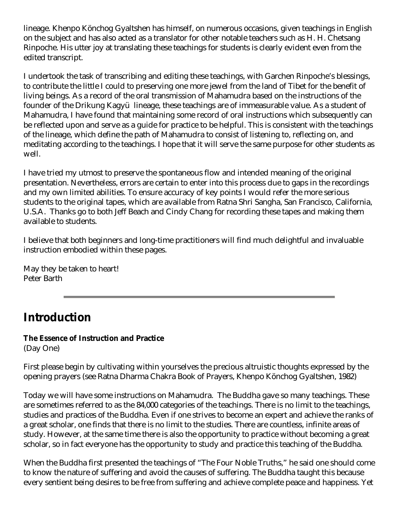lineage. Khenpo Könchog Gyaltshen has himself, on numerous occasions, given teachings in English on the subject and has also acted as a translator for other notable teachers such as H. H. Chetsang Rinpoche. His utter joy at translating these teachings for students is clearly evident even from the edited transcript.

I undertook the task of transcribing and editing these teachings, with Garchen Rinpoche's blessings, to contribute the little I could to preserving one more jewel from the land of Tibet for the benefit of living beings. As a record of the oral transmission of Mahamudra based on the instructions of the founder of the Drikung Kagyü lineage, these teachings are of immeasurable value. As a student of Mahamudra, I have found that maintaining some record of oral instructions which subsequently can be reflected upon and serve as a guide for practice to be helpful. This is consistent with the teachings of the lineage, which define the path of Mahamudra to consist of listening to, reflecting on, and meditating according to the teachings. I hope that it will serve the same purpose for other students as well.

I have tried my utmost to preserve the spontaneous flow and intended meaning of the original presentation. Nevertheless, errors are certain to enter into this process due to gaps in the recordings and my own limited abilities. To ensure accuracy of key points I would refer the more serious students to the original tapes, which are available from Ratna Shri Sangha, San Francisco, California, U.S.A. Thanks go to both Jeff Beach and Cindy Chang for recording these tapes and making them available to students.

I believe that both beginners and long-time practitioners will find much delightful and invaluable instruction embodied within these pages.

May they be taken to heart! Peter Barth

# **Introduction**

# **The Essence of Instruction and Practice**

(Day One)

First please begin by cultivating within yourselves the precious altruistic thoughts expressed by the opening prayers (see Ratna Dharma Chakra Book of Prayers, Khenpo Könchog Gyaltshen, 1982)

Today we will have some instructions on Mahamudra. The Buddha gave so many teachings. These are sometimes referred to as the 84,000 categories of the teachings. There is no limit to the teachings, studies and practices of the Buddha. Even if one strives to become an expert and achieve the ranks of a great scholar, one finds that there is no limit to the studies. There are countless, infinite areas of study. However, at the same time there is also the opportunity to practice without becoming a great scholar, so in fact everyone has the opportunity to study and practice this teaching of the Buddha.

When the Buddha first presented the teachings of "The Four Noble Truths," he said one should come to know the nature of suffering and avoid the causes of suffering. The Buddha taught this because every sentient being desires to be free from suffering and achieve complete peace and happiness. Yet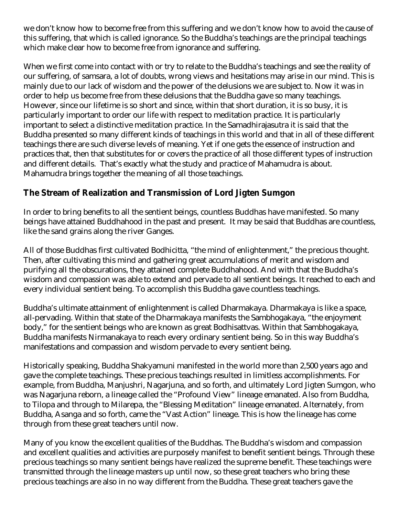we don't know how to become free from this suffering and we don't know how to avoid the cause of this suffering, that which is called ignorance. So the Buddha's teachings are the principal teachings which make clear how to become free from ignorance and suffering.

When we first come into contact with or try to relate to the Buddha's teachings and see the reality of our suffering, of samsara, a lot of doubts, wrong views and hesitations may arise in our mind. This is mainly due to our lack of wisdom and the power of the delusions we are subject to. Now it was in order to help us become free from these delusions that the Buddha gave so many teachings. However, since our lifetime is so short and since, within that short duration, it is so busy, it is particularly important to order our life with respect to meditation practice. It is particularly important to select a distinctive meditation practice. In the Samadhirajasutra it is said that the Buddha presented so many different kinds of teachings in this world and that in all of these different teachings there are such diverse levels of meaning. Yet if one gets the essence of instruction and practices that, then that substitutes for or covers the practice of all those different types of instruction and different details. That's exactly what the study and practice of Mahamudra is about. Mahamudra brings together the meaning of all those teachings.

### **The Stream of Realization and Transmission of Lord Jigten Sumgon**

In order to bring benefits to all the sentient beings, countless Buddhas have manifested. So many beings have attained Buddhahood in the past and present. It may be said that Buddhas are countless, like the sand grains along the river Ganges.

All of those Buddhas first cultivated Bodhicitta, "the mind of enlightenment," the precious thought. Then, after cultivating this mind and gathering great accumulations of merit and wisdom and purifying all the obscurations, they attained complete Buddhahood. And with that the Buddha's wisdom and compassion was able to extend and pervade to all sentient beings. It reached to each and every individual sentient being. To accomplish this Buddha gave countless teachings.

Buddha's ultimate attainment of enlightenment is called Dharmakaya. Dharmakaya is like a space, all-pervading. Within that state of the Dharmakaya manifests the Sambhogakaya, "the enjoyment body," for the sentient beings who are known as great Bodhisattvas. Within that Sambhogakaya, Buddha manifests Nirmanakaya to reach every ordinary sentient being. So in this way Buddha's manifestations and compassion and wisdom pervade to every sentient being.

Historically speaking, Buddha Shakyamuni manifested in the world more than 2,500 years ago and gave the complete teachings. These precious teachings resulted in limitless accomplishments. For example, from Buddha, Manjushri, Nagarjuna, and so forth, and ultimately Lord Jigten Sumgon, who was Nagarjuna reborn, a lineage called the "Profound View" lineage emanated. Also from Buddha, to Tilopa and through to Milarepa, the "Blessing Meditation" lineage emanated. Alternately, from Buddha, Asanga and so forth, came the "Vast Action" lineage. This is how the lineage has come through from these great teachers until now.

Many of you know the excellent qualities of the Buddhas. The Buddha's wisdom and compassion and excellent qualities and activities are purposely manifest to benefit sentient beings. Through these precious teachings so many sentient beings have realized the supreme benefit. These teachings were transmitted through the lineage masters up until now, so these great teachers who bring these precious teachings are also in no way different from the Buddha. These great teachers gave the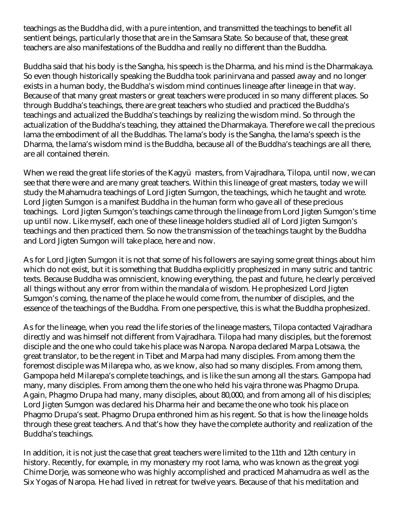teachings as the Buddha did, with a pure intention, and transmitted the teachings to benefit all sentient beings, particularly those that are in the Samsara State. So because of that, these great teachers are also manifestations of the Buddha and really no different than the Buddha.

Buddha said that his body is the Sangha, his speech is the Dharma, and his mind is the Dharmakaya. So even though historically speaking the Buddha took parinirvana and passed away and no longer exists in a human body, the Buddha's wisdom mind continues lineage after lineage in that way. Because of that many great masters or great teachers were produced in so many different places. So through Buddha's teachings, there are great teachers who studied and practiced the Buddha's teachings and actualized the Buddha's teachings by realizing the wisdom mind. So through the actualization of the Buddha's teaching, they attained the Dharmakaya. Therefore we call the precious lama the embodiment of all the Buddhas. The lama's body is the Sangha, the lama's speech is the Dharma, the lama's wisdom mind is the Buddha, because all of the Buddha's teachings are all there, are all contained therein.

When we read the great life stories of the Kagyü masters, from Vajradhara, Tilopa, until now, we can see that there were and are many great teachers. Within this lineage of great masters, today we will study the Mahamudra teachings of Lord Jigten Sumgon, the teachings, which he taught and wrote. Lord Jigten Sumgon is a manifest Buddha in the human form who gave all of these precious teachings. Lord Jigten Sumgon's teachings came through the lineage from Lord Jigten Sumgon's time up until now. Like myself, each one of these lineage holders studied all of Lord Jigten Sumgon's teachings and then practiced them. So now the transmission of the teachings taught by the Buddha and Lord Jigten Sumgon will take place, here and now.

As for Lord Jigten Sumgon it is not that some of his followers are saying some great things about him which do not exist, but it is something that Buddha explicitly prophesized in many sutric and tantric texts. Because Buddha was omniscient, knowing everything, the past and future, he clearly perceived all things without any error from within the mandala of wisdom. He prophesized Lord Jigten Sumgon's coming, the name of the place he would come from, the number of disciples, and the essence of the teachings of the Buddha. From one perspective, this is what the Buddha prophesized.

As for the lineage, when you read the life stories of the lineage masters, Tilopa contacted Vajradhara directly and was himself not different from Vajradhara. Tilopa had many disciples, but the foremost disciple and the one who could take his place was Naropa. Naropa declared Marpa Lotsawa, the great translator, to be the regent in Tibet and Marpa had many disciples. From among them the foremost disciple was Milarepa who, as we know, also had so many disciples. From among them, Gampopa held Milarepa's complete teachings, and is like the sun among all the stars. Gampopa had many, many disciples. From among them the one who held his vajra throne was Phagmo Drupa. Again, Phagmo Drupa had many, many disciples, about 80,000, and from among all of his disciples; Lord Jigten Sumgon was declared his Dharma heir and became the one who took his place on Phagmo Drupa's seat. Phagmo Drupa enthroned him as his regent. So that is how the lineage holds through these great teachers. And that's how they have the complete authority and realization of the Buddha's teachings.

In addition, it is not just the case that great teachers were limited to the 11th and 12th century in history. Recently, for example, in my monastery my root lama, who was known as the great yogi Chime Dorje, was someone who was highly accomplished and practiced Mahamudra as well as the Six Yogas of Naropa. He had lived in retreat for twelve years. Because of that his meditation and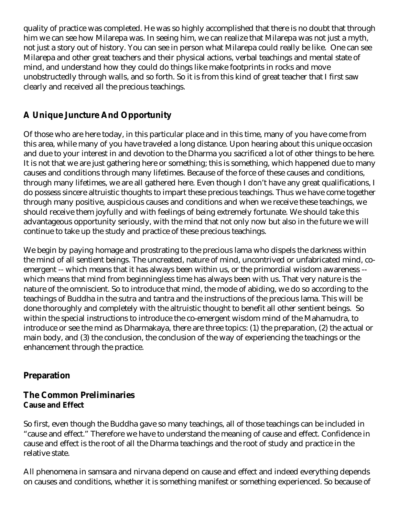quality of practice was completed. He was so highly accomplished that there is no doubt that through him we can see how Milarepa was. In seeing him, we can realize that Milarepa was not just a myth, not just a story out of history. You can see in person what Milarepa could really be like. One can see Milarepa and other great teachers and their physical actions, verbal teachings and mental state of mind, and understand how they could do things like make footprints in rocks and move unobstructedly through walls, and so forth. So it is from this kind of great teacher that I first saw clearly and received all the precious teachings.

#### **A Unique Juncture And Opportunity**

Of those who are here today, in this particular place and in this time, many of you have come from this area, while many of you have traveled a long distance. Upon hearing about this unique occasion and due to your interest in and devotion to the Dharma you sacrificed a lot of other things to be here. It is not that we are just gathering here or something; this is something, which happened due to many causes and conditions through many lifetimes. Because of the force of these causes and conditions, through many lifetimes, we are all gathered here. Even though I don't have any great qualifications, I do possess sincere altruistic thoughts to impart these precious teachings. Thus we have come together through many positive, auspicious causes and conditions and when we receive these teachings, we should receive them joyfully and with feelings of being extremely fortunate. We should take this advantageous opportunity seriously, with the mind that not only now but also in the future we will continue to take up the study and practice of these precious teachings.

We begin by paying homage and prostrating to the precious lama who dispels the darkness within the mind of all sentient beings. The uncreated, nature of mind, uncontrived or unfabricated mind, coemergent -- which means that it has always been within us, or the primordial wisdom awareness - which means that mind from beginningless time has always been with us. That very nature is the nature of the omniscient. So to introduce that mind, the mode of abiding, we do so according to the teachings of Buddha in the sutra and tantra and the instructions of the precious lama. This will be done thoroughly and completely with the altruistic thought to benefit all other sentient beings. So within the special instructions to introduce the co-emergent wisdom mind of the Mahamudra, to introduce or see the mind as Dharmakaya, there are three topics: (1) the preparation, (2) the actual or main body, and (3) the conclusion, the conclusion of the way of experiencing the teachings or the enhancement through the practice.

#### **Preparation**

#### **The Common Preliminaries Cause and Effect**

So first, even though the Buddha gave so many teachings, all of those teachings can be included in "cause and effect." Therefore we have to understand the meaning of cause and effect. Confidence in cause and effect is the root of all the Dharma teachings and the root of study and practice in the relative state.

All phenomena in samsara and nirvana depend on cause and effect and indeed everything depends on causes and conditions, whether it is something manifest or something experienced. So because of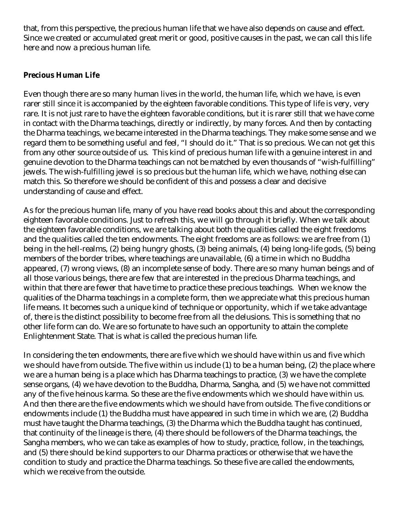that, from this perspective, the precious human life that we have also depends on cause and effect. Since we created or accumulated great merit or good, positive causes in the past, we can call this life here and now a precious human life.

#### **Precious Human Life**

Even though there are so many human lives in the world, the human life, which we have, is even rarer still since it is accompanied by the eighteen favorable conditions. This type of life is very, very rare. It is not just rare to have the eighteen favorable conditions, but it is rarer still that we have come in contact with the Dharma teachings, directly or indirectly, by many forces. And then by contacting the Dharma teachings, we became interested in the Dharma teachings. They make some sense and we regard them to be something useful and feel, "I should do it." That is so precious. We can not get this from any other source outside of us. This kind of precious human life with a genuine interest in and genuine devotion to the Dharma teachings can not be matched by even thousands of "wish-fulfilling" jewels. The wish-fulfilling jewel is so precious but the human life, which we have, nothing else can match this. So therefore we should be confident of this and possess a clear and decisive understanding of cause and effect.

As for the precious human life, many of you have read books about this and about the corresponding eighteen favorable conditions. Just to refresh this, we will go through it briefly. When we talk about the eighteen favorable conditions, we are talking about both the qualities called the eight freedoms and the qualities called the ten endowments. The eight freedoms are as follows: we are free from (1) being in the hell-realms, (2) being hungry ghosts, (3) being animals, (4) being long-life gods, (5) being members of the border tribes, where teachings are unavailable, (6) a time in which no Buddha appeared, (7) wrong views, (8) an incomplete sense of body. There are so many human beings and of all those various beings, there are few that are interested in the precious Dharma teachings, and within that there are fewer that have time to practice these precious teachings. When we know the qualities of the Dharma teachings in a complete form, then we appreciate what this precious human life means. It becomes such a unique kind of technique or opportunity, which if we take advantage of, there is the distinct possibility to become free from all the delusions. This is something that no other life form can do. We are so fortunate to have such an opportunity to attain the complete Enlightenment State. That is what is called the precious human life.

In considering the ten endowments, there are five which we should have within us and five which we should have from outside. The five within us include (1) to be a human being, (2) the place where we are a human being is a place which has Dharma teachings to practice, (3) we have the complete sense organs, (4) we have devotion to the Buddha, Dharma, Sangha, and (5) we have not committed any of the five heinous karma. So these are the five endowments which we should have within us. And then there are the five endowments which we should have from outside. The five conditions or endowments include (1) the Buddha must have appeared in such time in which we are, (2) Buddha must have taught the Dharma teachings, (3) the Dharma which the Buddha taught has continued, that continuity of the lineage is there, (4) there should be followers of the Dharma teachings, the Sangha members, who we can take as examples of how to study, practice, follow, in the teachings, and (5) there should be kind supporters to our Dharma practices or otherwise that we have the condition to study and practice the Dharma teachings. So these five are called the endowments, which we receive from the outside.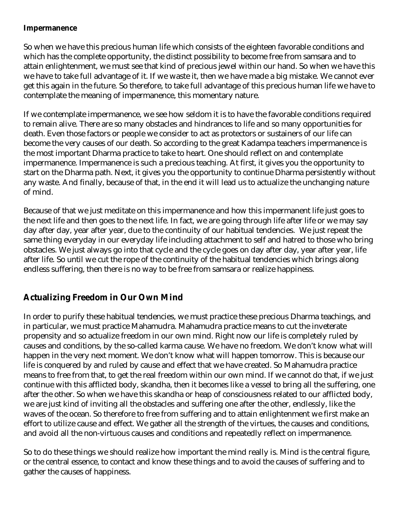#### **Impermanence**

So when we have this precious human life which consists of the eighteen favorable conditions and which has the complete opportunity, the distinct possibility to become free from samsara and to attain enlightenment, we must see that kind of precious jewel within our hand. So when we have this we have to take full advantage of it. If we waste it, then we have made a big mistake. We cannot ever get this again in the future. So therefore, to take full advantage of this precious human life we have to contemplate the meaning of impermanence, this momentary nature.

If we contemplate impermanence, we see how seldom it is to have the favorable conditions required to remain alive. There are so many obstacles and hindrances to life and so many opportunities for death. Even those factors or people we consider to act as protectors or sustainers of our life can become the very causes of our death. So according to the great Kadampa teachers impermanence is the most important Dharma practice to take to heart. One should reflect on and contemplate impermanence. Impermanence is such a precious teaching. At first, it gives you the opportunity to start on the Dharma path. Next, it gives you the opportunity to continue Dharma persistently without any waste. And finally, because of that, in the end it will lead us to actualize the unchanging nature of mind.

Because of that we just meditate on this impermanence and how this impermanent life just goes to the next life and then goes to the next life. In fact, we are going through life after life or we may say day after day, year after year, due to the continuity of our habitual tendencies. We just repeat the same thing everyday in our everyday life including attachment to self and hatred to those who bring obstacles. We just always go into that cycle and the cycle goes on day after day, year after year, life after life. So until we cut the rope of the continuity of the habitual tendencies which brings along endless suffering, then there is no way to be free from samsara or realize happiness.

#### **Actualizing Freedom in Our Own Mind**

In order to purify these habitual tendencies, we must practice these precious Dharma teachings, and in particular, we must practice Mahamudra. Mahamudra practice means to cut the inveterate propensity and so actualize freedom in our own mind. Right now our life is completely ruled by causes and conditions, by the so-called karma cause. We have no freedom. We don't know what will happen in the very next moment. We don't know what will happen tomorrow. This is because our life is conquered by and ruled by cause and effect that we have created. So Mahamudra practice means to free from that, to get the real freedom within our own mind. If we cannot do that, if we just continue with this afflicted body, skandha, then it becomes like a vessel to bring all the suffering, one after the other. So when we have this skandha or heap of consciousness related to our afflicted body, we are just kind of inviting all the obstacles and suffering one after the other, endlessly, like the waves of the ocean. So therefore to free from suffering and to attain enlightenment we first make an effort to utilize cause and effect. We gather all the strength of the virtues, the causes and conditions, and avoid all the non-virtuous causes and conditions and repeatedly reflect on impermanence.

So to do these things we should realize how important the mind really is. Mind is the central figure, or the central essence, to contact and know these things and to avoid the causes of suffering and to gather the causes of happiness.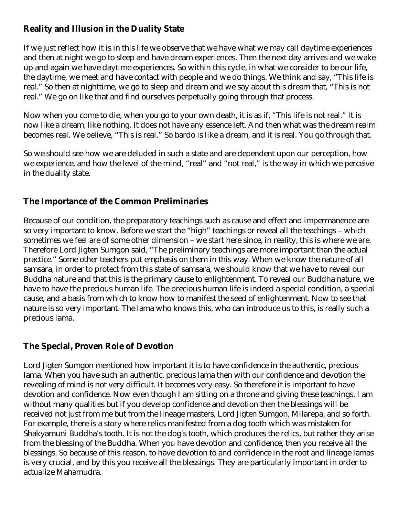#### **Reality and Illusion in the Duality State**

If we just reflect how it is in this life we observe that we have what we may call daytime experiences and then at night we go to sleep and have dream experiences. Then the next day arrives and we wake up and again we have daytime experiences. So within this cycle, in what we consider to be our life, the daytime, we meet and have contact with people and we do things. We think and say, "This life is real." So then at nighttime, we go to sleep and dream and we say about this dream that, "This is not real." We go on like that and find ourselves perpetually going through that process.

Now when you come to die, when you go to your own death, it is as if, "This life is not real." It is now like a dream, like nothing. It does not have any essence left. And then what was the dream realm becomes real. We believe, "This is real." So bardo is like a dream, and it is real. You go through that.

So we should see how we are deluded in such a state and are dependent upon our perception, how we experience, and how the level of the mind, "real" and "not real," is the way in which we perceive in the duality state.

#### **The Importance of the Common Preliminaries**

Because of our condition, the preparatory teachings such as cause and effect and impermanence are so very important to know. Before we start the "high" teachings or reveal all the teachings – which sometimes we feel are of some other dimension – we start here since, in reality, this is where we are. Therefore Lord Jigten Sumgon said, "The preliminary teachings are more important than the actual practice." Some other teachers put emphasis on them in this way. When we know the nature of all samsara, in order to protect from this state of samsara, we should know that we have to reveal our Buddha nature and that this is the primary cause to enlightenment. To reveal our Buddha nature, we have to have the precious human life. The precious human life is indeed a special condition, a special cause, and a basis from which to know how to manifest the seed of enlightenment. Now to see that nature is so very important. The lama who knows this, who can introduce us to this, is really such a precious lama.

### **The Special, Proven Role of Devotion**

Lord Jigten Sumgon mentioned how important it is to have confidence in the authentic, precious lama. When you have such an authentic, precious lama then with our confidence and devotion the revealing of mind is not very difficult. It becomes very easy. So therefore it is important to have devotion and confidence. Now even though I am sitting on a throne and giving these teachings, I am without many qualities but if you develop confidence and devotion then the blessings will be received not just from me but from the lineage masters, Lord Jigten Sumgon, Milarepa, and so forth. For example, there is a story where relics manifested from a dog tooth which was mistaken for Shakyamuni Buddha's tooth. It is not the dog's tooth, which produces the relics, but rather they arise from the blessing of the Buddha. When you have devotion and confidence, then you receive all the blessings. So because of this reason, to have devotion to and confidence in the root and lineage lamas is very crucial, and by this you receive all the blessings. They are particularly important in order to actualize Mahamudra.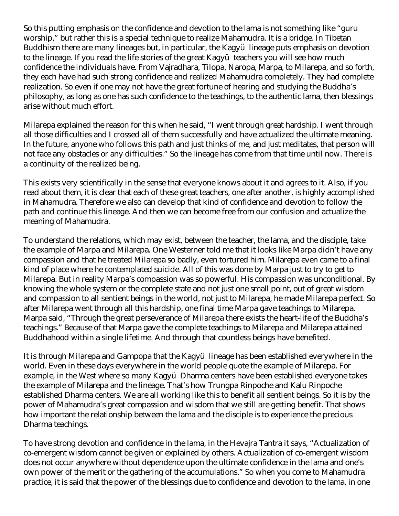So this putting emphasis on the confidence and devotion to the lama is not something like "guru worship," but rather this is a special technique to realize Mahamudra. It is a bridge. In Tibetan Buddhism there are many lineages but, in particular, the Kagyü lineage puts emphasis on devotion to the lineage. If you read the life stories of the great Kagyü teachers you will see how much confidence the individuals have. From Vajradhara, Tilopa, Naropa, Marpa, to Milarepa, and so forth, they each have had such strong confidence and realized Mahamudra completely. They had complete realization. So even if one may not have the great fortune of hearing and studying the Buddha's philosophy, as long as one has such confidence to the teachings, to the authentic lama, then blessings arise without much effort.

Milarepa explained the reason for this when he said, "I went through great hardship. I went through all those difficulties and I crossed all of them successfully and have actualized the ultimate meaning. In the future, anyone who follows this path and just thinks of me, and just meditates, that person will not face any obstacles or any difficulties." So the lineage has come from that time until now. There is a continuity of the realized being.

This exists very scientifically in the sense that everyone knows about it and agrees to it. Also, if you read about them, it is clear that each of these great teachers, one after another, is highly accomplished in Mahamudra. Therefore we also can develop that kind of confidence and devotion to follow the path and continue this lineage. And then we can become free from our confusion and actualize the meaning of Mahamudra.

To understand the relations, which may exist, between the teacher, the lama, and the disciple, take the example of Marpa and Milarepa. One Westerner told me that it looks like Marpa didn't have any compassion and that he treated Milarepa so badly, even tortured him. Milarepa even came to a final kind of place where he contemplated suicide. All of this was done by Marpa just to try to get to Milarepa. But in reality Marpa's compassion was so powerful. His compassion was unconditional. By knowing the whole system or the complete state and not just one small point, out of great wisdom and compassion to all sentient beings in the world, not just to Milarepa, he made Milarepa perfect. So after Milarepa went through all this hardship, one final time Marpa gave teachings to Milarepa. Marpa said, "Through the great perseverance of Milarepa there exists the heart-life of the Buddha's teachings." Because of that Marpa gave the complete teachings to Milarepa and Milarepa attained Buddhahood within a single lifetime. And through that countless beings have benefited.

It is through Milarepa and Gampopa that the Kagyü lineage has been established everywhere in the world. Even in these days everywhere in the world people quote the example of Milarepa. For example, in the West where so many Kagyü Dharma centers have been established everyone takes the example of Milarepa and the lineage. That's how Trungpa Rinpoche and Kalu Rinpoche established Dharma centers. We are all working like this to benefit all sentient beings. So it is by the power of Mahamudra's great compassion and wisdom that we still are getting benefit. That shows how important the relationship between the lama and the disciple is to experience the precious Dharma teachings.

To have strong devotion and confidence in the lama, in the Hevajra Tantra it says, "Actualization of co-emergent wisdom cannot be given or explained by others. Actualization of co-emergent wisdom does not occur anywhere without dependence upon the ultimate confidence in the lama and one's own power of the merit or the gathering of the accumulations." So when you come to Mahamudra practice, it is said that the power of the blessings due to confidence and devotion to the lama, in one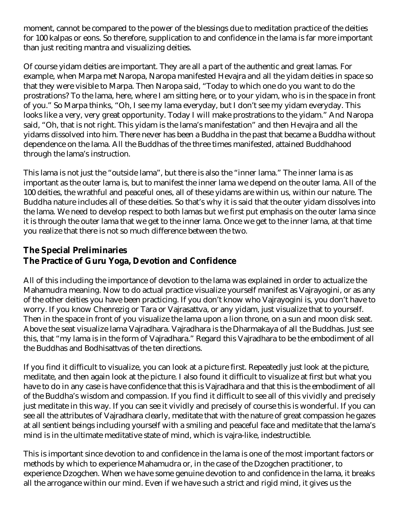moment, cannot be compared to the power of the blessings due to meditation practice of the deities for 100 kalpas or eons. So therefore, supplication to and confidence in the lama is far more important than just reciting mantra and visualizing deities.

Of course yidam deities are important. They are all a part of the authentic and great lamas. For example, when Marpa met Naropa, Naropa manifested Hevajra and all the yidam deities in space so that they were visible to Marpa. Then Naropa said, "Today to which one do you want to do the prostrations? To the lama, here, where I am sitting here, or to your yidam, who is in the space in front of you." So Marpa thinks, "Oh, I see my lama everyday, but I don't see my yidam everyday. This looks like a very, very great opportunity. Today I will make prostrations to the yidam." And Naropa said, "Oh, that is not right. This yidam is the lama's manifestation" and then Hevajra and all the yidams dissolved into him. There never has been a Buddha in the past that became a Buddha without dependence on the lama. All the Buddhas of the three times manifested, attained Buddhahood through the lama's instruction.

This lama is not just the "outside lama", but there is also the "inner lama." The inner lama is as important as the outer lama is, but to manifest the inner lama we depend on the outer lama. All of the 100 deities, the wrathful and peaceful ones, all of these yidams are within us, within our nature. The Buddha nature includes all of these deities. So that's why it is said that the outer yidam dissolves into the lama. We need to develop respect to both lamas but we first put emphasis on the outer lama since it is through the outer lama that we get to the inner lama. Once we get to the inner lama, at that time you realize that there is not so much difference between the two.

#### **The Special Preliminaries The Practice of Guru Yoga, Devotion and Confidence**

All of this including the importance of devotion to the lama was explained in order to actualize the Mahamudra meaning. Now to do actual practice visualize yourself manifest as Vajrayogini, or as any of the other deities you have been practicing. If you don't know who Vajrayogini is, you don't have to worry. If you know Chenrezig or Tara or Vajrasattva, or any yidam, just visualize that to yourself. Then in the space in front of you visualize the lama upon a lion throne, on a sun and moon disk seat. Above the seat visualize lama Vajradhara. Vajradhara is the Dharmakaya of all the Buddhas. Just see this, that "my lama is in the form of Vajradhara." Regard this Vajradhara to be the embodiment of all the Buddhas and Bodhisattvas of the ten directions.

If you find it difficult to visualize, you can look at a picture first. Repeatedly just look at the picture, meditate, and then again look at the picture. I also found it difficult to visualize at first but what you have to do in any case is have confidence that this is Vajradhara and that this is the embodiment of all of the Buddha's wisdom and compassion. If you find it difficult to see all of this vividly and precisely just meditate in this way. If you can see it vividly and precisely of course this is wonderful. If you can see all the attributes of Vajradhara clearly, meditate that with the nature of great compassion he gazes at all sentient beings including yourself with a smiling and peaceful face and meditate that the lama's mind is in the ultimate meditative state of mind, which is vajra-like, indestructible.

This is important since devotion to and confidence in the lama is one of the most important factors or methods by which to experience Mahamudra or, in the case of the Dzogchen practitioner, to experience Dzogchen. When we have some genuine devotion to and confidence in the lama, it breaks all the arrogance within our mind. Even if we have such a strict and rigid mind, it gives us the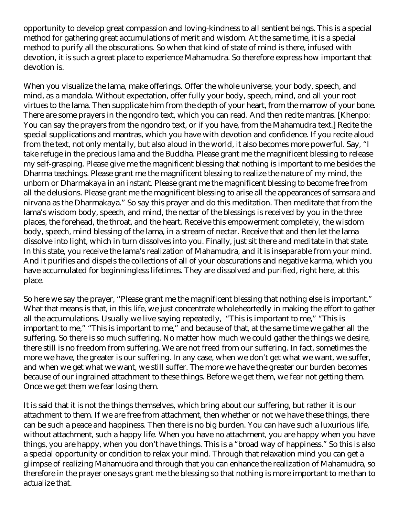opportunity to develop great compassion and loving-kindness to all sentient beings. This is a special method for gathering great accumulations of merit and wisdom. At the same time, it is a special method to purify all the obscurations. So when that kind of state of mind is there, infused with devotion, it is such a great place to experience Mahamudra. So therefore express how important that devotion is.

When you visualize the lama, make offerings. Offer the whole universe, your body, speech, and mind, as a mandala. Without expectation, offer fully your body, speech, mind, and all your root virtues to the lama. Then supplicate him from the depth of your heart, from the marrow of your bone. There are some prayers in the ngondro text, which you can read. And then recite mantras. [Khenpo: You can say the prayers from the ngondro text, or if you have, from the Mahamudra text.] Recite the special supplications and mantras, which you have with devotion and confidence. If you recite aloud from the text, not only mentally, but also aloud in the world, it also becomes more powerful. Say, "I take refuge in the precious lama and the Buddha. Please grant me the magnificent blessing to release my self-grasping. Please give me the magnificent blessing that nothing is important to me besides the Dharma teachings. Please grant me the magnificent blessing to realize the nature of my mind, the unborn or Dharmakaya in an instant. Please grant me the magnificent blessing to become free from all the delusions. Please grant me the magnificent blessing to arise all the appearances of samsara and nirvana as the Dharmakaya." So say this prayer and do this meditation. Then meditate that from the lama's wisdom body, speech, and mind, the nectar of the blessings is received by you in the three places, the forehead, the throat, and the heart. Receive this empowerment completely, the wisdom body, speech, mind blessing of the lama, in a stream of nectar. Receive that and then let the lama dissolve into light, which in turn dissolves into you. Finally, just sit there and meditate in that state. In this state, you receive the lama's realization of Mahamudra, and it is inseparable from your mind. And it purifies and dispels the collections of all of your obscurations and negative karma, which you have accumulated for beginningless lifetimes. They are dissolved and purified, right here, at this place.

So here we say the prayer, "Please grant me the magnificent blessing that nothing else is important." What that means is that, in this life, we just concentrate wholeheartedly in making the effort to gather all the accumulations. Usually we live saying repeatedly, "This is important to me," "This is important to me," "This is important to me," and because of that, at the same time we gather all the suffering. So there is so much suffering. No matter how much we could gather the things we desire, there still is no freedom from suffering. We are not freed from our suffering. In fact, sometimes the more we have, the greater is our suffering. In any case, when we don't get what we want, we suffer, and when we get what we want, we still suffer. The more we have the greater our burden becomes because of our ingrained attachment to these things. Before we get them, we fear not getting them. Once we get them we fear losing them.

It is said that it is not the things themselves, which bring about our suffering, but rather it is our attachment to them. If we are free from attachment, then whether or not we have these things, there can be such a peace and happiness. Then there is no big burden. You can have such a luxurious life, without attachment, such a happy life. When you have no attachment, you are happy when you have things, you are happy, when you don't have things. This is a "broad way of happiness." So this is also a special opportunity or condition to relax your mind. Through that relaxation mind you can get a glimpse of realizing Mahamudra and through that you can enhance the realization of Mahamudra, so therefore in the prayer one says grant me the blessing so that nothing is more important to me than to actualize that.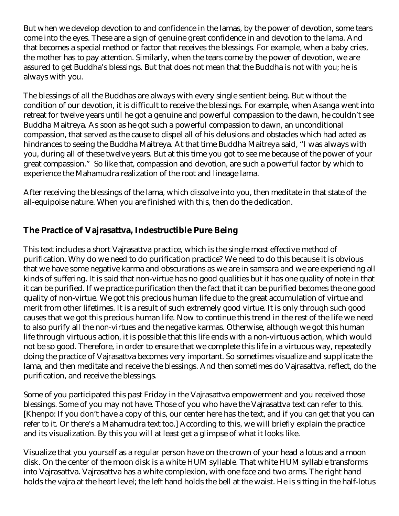But when we develop devotion to and confidence in the lamas, by the power of devotion, some tears come into the eyes. These are a sign of genuine great confidence in and devotion to the lama. And that becomes a special method or factor that receives the blessings. For example, when a baby cries, the mother has to pay attention. Similarly, when the tears come by the power of devotion, we are assured to get Buddha's blessings. But that does not mean that the Buddha is not with you; he is always with you.

The blessings of all the Buddhas are always with every single sentient being. But without the condition of our devotion, it is difficult to receive the blessings. For example, when Asanga went into retreat for twelve years until he got a genuine and powerful compassion to the dawn, he couldn't see Buddha Maitreya. As soon as he got such a powerful compassion to dawn, an unconditional compassion, that served as the cause to dispel all of his delusions and obstacles which had acted as hindrances to seeing the Buddha Maitreya. At that time Buddha Maitreya said, "I was always with you, during all of these twelve years. But at this time you got to see me because of the power of your great compassion." So like that, compassion and devotion, are such a powerful factor by which to experience the Mahamudra realization of the root and lineage lama.

After receiving the blessings of the lama, which dissolve into you, then meditate in that state of the all-equipoise nature. When you are finished with this, then do the dedication.

#### **The Practice of Vajrasattva, Indestructible Pure Being**

This text includes a short Vajrasattva practice, which is the single most effective method of purification. Why do we need to do purification practice? We need to do this because it is obvious that we have some negative karma and obscurations as we are in samsara and we are experiencing all kinds of suffering. It is said that non-virtue has no good qualities but it has one quality of note in that it can be purified. If we practice purification then the fact that it can be purified becomes the one good quality of non-virtue. We got this precious human life due to the great accumulation of virtue and merit from other lifetimes. It is a result of such extremely good virtue. It is only through such good causes that we got this precious human life. Now to continue this trend in the rest of the life we need to also purify all the non-virtues and the negative karmas. Otherwise, although we got this human life through virtuous action, it is possible that this life ends with a non-virtuous action, which would not be so good. Therefore, in order to ensure that we complete this life in a virtuous way, repeatedly doing the practice of Vajrasattva becomes very important. So sometimes visualize and supplicate the lama, and then meditate and receive the blessings. And then sometimes do Vajrasattva, reflect, do the purification, and receive the blessings.

Some of you participated this past Friday in the Vajrasattva empowerment and you received those blessings. Some of you may not have. Those of you who have the Vajrasattva text can refer to this. [Khenpo: If you don't have a copy of this, our center here has the text, and if you can get that you can refer to it. Or there's a Mahamudra text too.] According to this, we will briefly explain the practice and its visualization. By this you will at least get a glimpse of what it looks like.

Visualize that you yourself as a regular person have on the crown of your head a lotus and a moon disk. On the center of the moon disk is a white HUM syllable. That white HUM syllable transforms into Vajrasattva. Vajrasattva has a white complexion, with one face and two arms. The right hand holds the vajra at the heart level; the left hand holds the bell at the waist. He is sitting in the half-lotus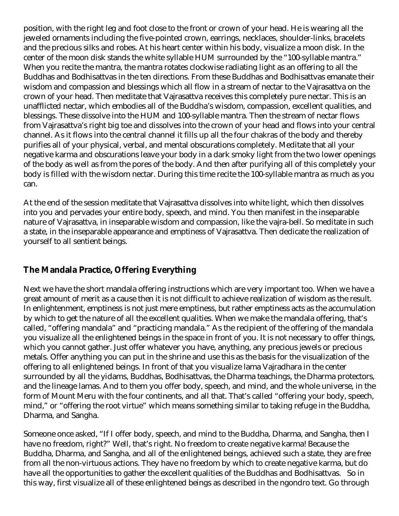position, with the right leg and foot close to the front or crown of your head. He is wearing all the jeweled ornaments including the five-pointed crown, earrings, necklaces, shoulder-links, bracelets and the precious silks and robes. At his heart center within his body, visualize a moon disk. In the center of the moon disk stands the white syllable HUM surrounded by the "100-syllable mantra." When you recite the mantra, the mantra rotates clockwise radiating light as an offering to all the Buddhas and Bodhisattvas in the ten directions. From these Buddhas and Bodhisattvas emanate their wisdom and compassion and blessings which all flow in a stream of nectar to the Vajrasattva on the crown of your head. Then meditate that Vajrasattva receives this completely pure nectar. This is an unafflicted nectar, which embodies all of the Buddha's wisdom, compassion, excellent qualities, and blessings. These dissolve into the HUM and 100-syllable mantra. Then the stream of nectar flows from Vajrasattva's right big toe and dissolves into the crown of your head and flows into your central channel. As it flows into the central channel it fills up all the four chakras of the body and thereby purifies all of your physical, verbal, and mental obscurations completely. Meditate that all your negative karma and obscurations leave your body in a dark smoky light from the two lower openings of the body as well as from the pores of the body. And then after purifying all of this completely your body is filled with the wisdom nectar. During this time recite the 100-syllable mantra as much as you can.

At the end of the session meditate that Vajrasattva dissolves into white light, which then dissolves into you and pervades your entire body, speech, and mind. You then manifest in the inseparable nature of Vajrasattva, in inseparable wisdom and compassion, like the vajra-bell. So meditate in such a state, in the inseparable appearance and emptiness of Vajrasattva. Then dedicate the realization of yourself to all sentient beings.

### **The Mandala Practice, Offering Everything**

Next we have the short mandala offering instructions which are very important too. When we have a great amount of merit as a cause then it is not difficult to achieve realization of wisdom as the result. In enlightenment, emptiness is not just mere emptiness, but rather emptiness acts as the accumulation by which to get the nature of all the excellent qualities. When we make the mandala offering, that's called, "offering mandala" and "practicing mandala." As the recipient of the offering of the mandala you visualize all the enlightened beings in the space in front of you. It is not necessary to offer things, which you cannot gather. Just offer whatever you have, anything, any precious jewels or precious metals. Offer anything you can put in the shrine and use this as the basis for the visualization of the offering to all enlightened beings. In front of that you visualize lama Vajradhara in the center surrounded by all the yidams, Buddhas, Bodhisattvas, the Dharma teachings, the Dharma protectors, and the lineage lamas. And to them you offer body, speech, and mind, and the whole universe, in the form of Mount Meru with the four continents, and all that. That's called "offering your body, speech, mind," or "offering the root virtue" which means something similar to taking refuge in the Buddha, Dharma, and Sangha.

Someone once asked, "If I offer body, speech, and mind to the Buddha, Dharma, and Sangha, then I have no freedom, right?" Well, that's right. No freedom to create negative karma! Because the Buddha, Dharma, and Sangha, and all of the enlightened beings, achieved such a state, they are free from all the non-virtuous actions. They have no freedom by which to create negative karma, but do have all the opportunities to gather the excellent qualities of the Buddhas and Bodhisattvas. So in this way, first visualize all of these enlightened beings as described in the ngondro text. Go through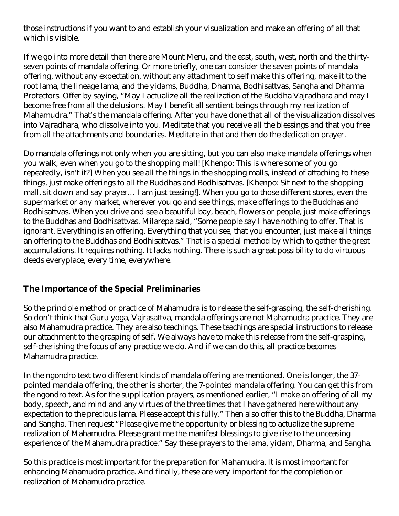those instructions if you want to and establish your visualization and make an offering of all that which is visible.

If we go into more detail then there are Mount Meru, and the east, south, west, north and the thirtyseven points of mandala offering. Or more briefly, one can consider the seven points of mandala offering, without any expectation, without any attachment to self make this offering, make it to the root lama, the lineage lama, and the yidams, Buddha, Dharma, Bodhisattvas, Sangha and Dharma Protectors. Offer by saying, "May I actualize all the realization of the Buddha Vajradhara and may I become free from all the delusions. May I benefit all sentient beings through my realization of Mahamudra." That's the mandala offering. After you have done that all of the visualization dissolves into Vajradhara, who dissolve into you. Meditate that you receive all the blessings and that you free from all the attachments and boundaries. Meditate in that and then do the dedication prayer.

Do mandala offerings not only when you are sitting, but you can also make mandala offerings when you walk, even when you go to the shopping mall! [Khenpo: This is where some of you go repeatedly, isn't it?] When you see all the things in the shopping malls, instead of attaching to these things, just make offerings to all the Buddhas and Bodhisattvas. [Khenpo: Sit next to the shopping mall, sit down and say prayer… I am just teasing!]. When you go to those different stores, even the supermarket or any market, wherever you go and see things, make offerings to the Buddhas and Bodhisattvas. When you drive and see a beautiful bay, beach, flowers or people, just make offerings to the Buddhas and Bodhisattvas. Milarepa said, "Some people say I have nothing to offer. That is ignorant. Everything is an offering. Everything that you see, that you encounter, just make all things an offering to the Buddhas and Bodhisattvas." That is a special method by which to gather the great accumulations. It requires nothing. It lacks nothing. There is such a great possibility to do virtuous deeds everyplace, every time, everywhere.

#### **The Importance of the Special Preliminaries**

So the principle method or practice of Mahamudra is to release the self-grasping, the self-cherishing. So don't think that Guru yoga, Vajrasattva, mandala offerings are not Mahamudra practice. They are also Mahamudra practice. They are also teachings. These teachings are special instructions to release our attachment to the grasping of self. We always have to make this release from the self-grasping, self-cherishing the focus of any practice we do. And if we can do this, all practice becomes Mahamudra practice.

In the ngondro text two different kinds of mandala offering are mentioned. One is longer, the 37 pointed mandala offering, the other is shorter, the 7-pointed mandala offering. You can get this from the ngondro text. As for the supplication prayers, as mentioned earlier, "I make an offering of all my body, speech, and mind and any virtues of the three times that I have gathered here without any expectation to the precious lama. Please accept this fully." Then also offer this to the Buddha, Dharma and Sangha. Then request "Please give me the opportunity or blessing to actualize the supreme realization of Mahamudra. Please grant me the manifest blessings to give rise to the unceasing experience of the Mahamudra practice." Say these prayers to the lama, yidam, Dharma, and Sangha.

So this practice is most important for the preparation for Mahamudra. It is most important for enhancing Mahamudra practice. And finally, these are very important for the completion or realization of Mahamudra practice.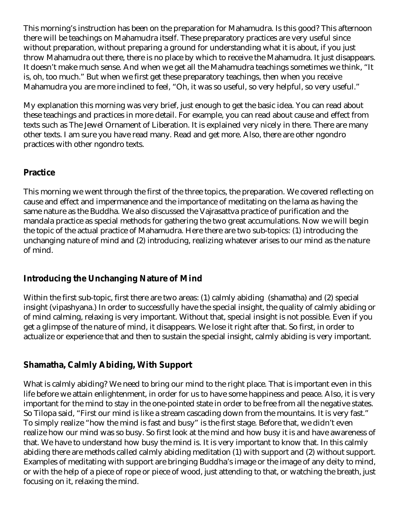This morning's instruction has been on the preparation for Mahamudra. Is this good? This afternoon there will be teachings on Mahamudra itself. These preparatory practices are very useful since without preparation, without preparing a ground for understanding what it is about, if you just throw Mahamudra out there, there is no place by which to receive the Mahamudra. It just disappears. It doesn't make much sense. And when we get all the Mahamudra teachings sometimes we think, "It is, oh, too much." But when we first get these preparatory teachings, then when you receive Mahamudra you are more inclined to feel, "Oh, it was so useful, so very helpful, so very useful."

My explanation this morning was very brief, just enough to get the basic idea. You can read about these teachings and practices in more detail. For example, you can read about cause and effect from texts such as The Jewel Ornament of Liberation. It is explained very nicely in there. There are many other texts. I am sure you have read many. Read and get more. Also, there are other ngondro practices with other ngondro texts.

#### **Practice**

This morning we went through the first of the three topics, the preparation. We covered reflecting on cause and effect and impermanence and the importance of meditating on the lama as having the same nature as the Buddha. We also discussed the Vajrasattva practice of purification and the mandala practice as special methods for gathering the two great accumulations. Now we will begin the topic of the actual practice of Mahamudra. Here there are two sub-topics: (1) introducing the unchanging nature of mind and (2) introducing, realizing whatever arises to our mind as the nature of mind.

#### **Introducing the Unchanging Nature of Mind**

Within the first sub-topic, first there are two areas: (1) calmly abiding (shamatha) and (2) special insight (vipashyana.) In order to successfully have the special insight, the quality of calmly abiding or of mind calming, relaxing is very important. Without that, special insight is not possible. Even if you get a glimpse of the nature of mind, it disappears. We lose it right after that. So first, in order to actualize or experience that and then to sustain the special insight, calmly abiding is very important.

#### **Shamatha, Calmly Abiding, With Support**

What is calmly abiding? We need to bring our mind to the right place. That is important even in this life before we attain enlightenment, in order for us to have some happiness and peace. Also, it is very important for the mind to stay in the one-pointed state in order to be free from all the negative states. So Tilopa said, "First our mind is like a stream cascading down from the mountains. It is very fast." To simply realize "how the mind is fast and busy" is the first stage. Before that, we didn't even realize how our mind was so busy. So first look at the mind and how busy it is and have awareness of that. We have to understand how busy the mind is. It is very important to know that. In this calmly abiding there are methods called calmly abiding meditation (1) with support and (2) without support. Examples of meditating with support are bringing Buddha's image or the image of any deity to mind, or with the help of a piece of rope or piece of wood, just attending to that, or watching the breath, just focusing on it, relaxing the mind.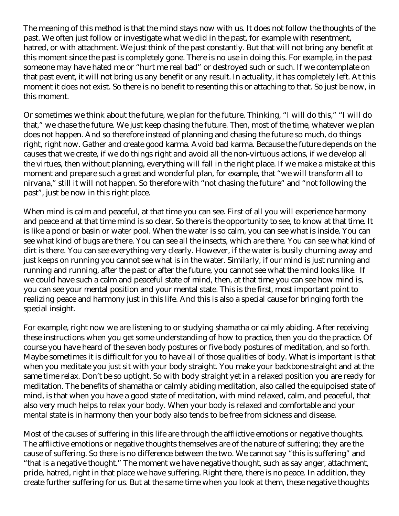The meaning of this method is that the mind stays now with us. It does not follow the thoughts of the past. We often just follow or investigate what we did in the past, for example with resentment, hatred, or with attachment. We just think of the past constantly. But that will not bring any benefit at this moment since the past is completely gone. There is no use in doing this. For example, in the past someone may have hated me or "hurt me real bad" or destroyed such or such. If we contemplate on that past event, it will not bring us any benefit or any result. In actuality, it has completely left. At this moment it does not exist. So there is no benefit to resenting this or attaching to that. So just be now, in this moment.

Or sometimes we think about the future, we plan for the future. Thinking, "I will do this," "I will do that," we chase the future. We just keep chasing the future. Then, most of the time, whatever we plan does not happen. And so therefore instead of planning and chasing the future so much, do things right, right now. Gather and create good karma. Avoid bad karma. Because the future depends on the causes that we create, if we do things right and avoid all the non-virtuous actions, if we develop all the virtues, then without planning, everything will fall in the right place. If we make a mistake at this moment and prepare such a great and wonderful plan, for example, that "we will transform all to nirvana," still it will not happen. So therefore with "not chasing the future" and "not following the past", just be now in this right place.

When mind is calm and peaceful, at that time you can see. First of all you will experience harmony and peace and at that time mind is so clear. So there is the opportunity to see, to know at that time. It is like a pond or basin or water pool. When the water is so calm, you can see what is inside. You can see what kind of bugs are there. You can see all the insects, which are there. You can see what kind of dirt is there. You can see everything very clearly. However, if the water is busily churning away and just keeps on running you cannot see what is in the water. Similarly, if our mind is just running and running and running, after the past or after the future, you cannot see what the mind looks like. If we could have such a calm and peaceful state of mind, then, at that time you can see how mind is, you can see your mental position and your mental state. This is the first, most important point to realizing peace and harmony just in this life. And this is also a special cause for bringing forth the special insight.

For example, right now we are listening to or studying shamatha or calmly abiding. After receiving these instructions when you get some understanding of how to practice, then you do the practice. Of course you have heard of the seven body postures or five body postures of meditation, and so forth. Maybe sometimes it is difficult for you to have all of those qualities of body. What is important is that when you meditate you just sit with your body straight. You make your backbone straight and at the same time relax. Don't be so uptight. So with body straight yet in a relaxed position you are ready for meditation. The benefits of shamatha or calmly abiding meditation, also called the equipoised state of mind, is that when you have a good state of meditation, with mind relaxed, calm, and peaceful, that also very much helps to relax your body. When your body is relaxed and comfortable and your mental state is in harmony then your body also tends to be free from sickness and disease.

Most of the causes of suffering in this life are through the afflictive emotions or negative thoughts. The afflictive emotions or negative thoughts themselves are of the nature of suffering; they are the cause of suffering. So there is no difference between the two. We cannot say "this is suffering" and "that is a negative thought." The moment we have negative thought, such as say anger, attachment, pride, hatred, right in that place we have suffering. Right there, there is no peace. In addition, they create further suffering for us. But at the same time when you look at them, these negative thoughts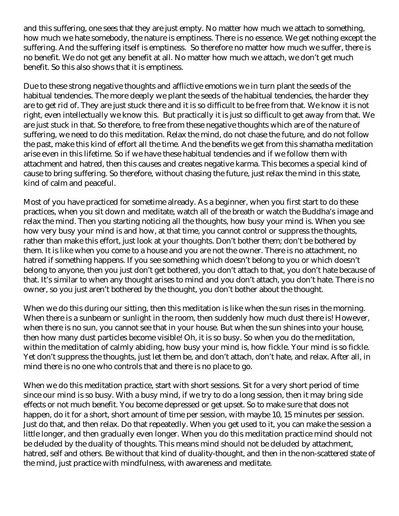and this suffering, one sees that they are just empty. No matter how much we attach to something, how much we hate somebody, the nature is emptiness. There is no essence. We get nothing except the suffering. And the suffering itself is emptiness. So therefore no matter how much we suffer, there is no benefit. We do not get any benefit at all. No matter how much we attach, we don't get much benefit. So this also shows that it is emptiness.

Due to these strong negative thoughts and afflictive emotions we in turn plant the seeds of the habitual tendencies. The more deeply we plant the seeds of the habitual tendencies, the harder they are to get rid of. They are just stuck there and it is so difficult to be free from that. We know it is not right, even intellectually we know this. But practically it is just so difficult to get away from that. We are just stuck in that. So therefore, to free from these negative thoughts which are of the nature of suffering, we need to do this meditation. Relax the mind, do not chase the future, and do not follow the past, make this kind of effort all the time. And the benefits we get from this shamatha meditation arise even in this lifetime. So if we have these habitual tendencies and if we follow them with attachment and hatred, then this causes and creates negative karma. This becomes a special kind of cause to bring suffering. So therefore, without chasing the future, just relax the mind in this state, kind of calm and peaceful.

Most of you have practiced for sometime already. As a beginner, when you first start to do these practices, when you sit down and meditate, watch all of the breath or watch the Buddha's image and relax the mind. Then you starting noticing all the thoughts, how busy your mind is. When you see how very busy your mind is and how, at that time, you cannot control or suppress the thoughts, rather than make this effort, just look at your thoughts. Don't bother them; don't be bothered by them. It is like when you come to a house and you are not the owner. There is no attachment, no hatred if something happens. If you see something which doesn't belong to you or which doesn't belong to anyone, then you just don't get bothered, you don't attach to that, you don't hate because of that. It's similar to when any thought arises to mind and you don't attach, you don't hate. There is no owner, so you just aren't bothered by the thought, you don't bother about the thought.

When we do this during our sitting, then this meditation is like when the sun rises in the morning. When there is a sunbeam or sunlight in the room, then suddenly how much dust there is! However, when there is no sun, you cannot see that in your house. But when the sun shines into your house, then how many dust particles become visible! Oh, it is so busy. So when you do the meditation, within the meditation of calmly abiding, how busy your mind is, how fickle. Your mind is so fickle. Yet don't suppress the thoughts, just let them be, and don't attach, don't hate, and relax. After all, in mind there is no one who controls that and there is no place to go.

When we do this meditation practice, start with short sessions. Sit for a very short period of time since our mind is so busy. With a busy mind, if we try to do a long session, then it may bring side effects or not much benefit. You become depressed or get upset. So to make sure that does not happen, do it for a short, short amount of time per session, with maybe 10, 15 minutes per session. Just do that, and then relax. Do that repeatedly. When you get used to it, you can make the session a little longer, and then gradually even longer. When you do this meditation practice mind should not be deluded by the duality of thoughts. This means mind should not be deluded by attachment, hatred, self and others. Be without that kind of duality-thought, and then in the non-scattered state of the mind, just practice with mindfulness, with awareness and meditate.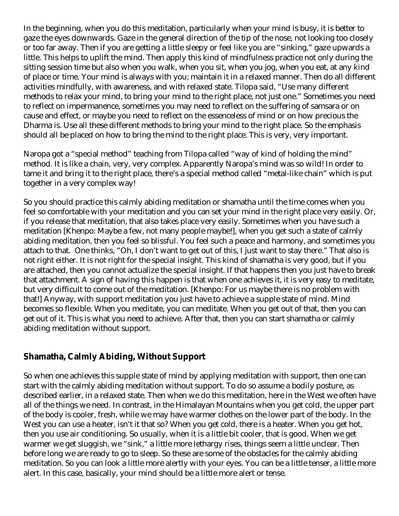In the beginning, when you do this meditation, particularly when your mind is busy, it is better to gaze the eyes downwards. Gaze in the general direction of the tip of the nose, not looking too closely or too far away. Then if you are getting a little sleepy or feel like you are "sinking," gaze upwards a little. This helps to uplift the mind. Then apply this kind of mindfulness practice not only during the sitting session time but also when you walk, when you sit, when you jog, when you eat, at any kind of place or time. Your mind is always with you; maintain it in a relaxed manner. Then do all different activities mindfully, with awareness, and with relaxed state. Tilopa said, "Use many different methods to relax your mind, to bring your mind to the right place, not just one." Sometimes you need to reflect on impermanence, sometimes you may need to reflect on the suffering of samsara or on cause and effect, or maybe you need to reflect on the essenceless of mind or on how precious the Dharma is. Use all these different methods to bring your mind to the right place. So the emphasis should all be placed on how to bring the mind to the right place. This is very, very important.

Naropa got a "special method" teaching from Tilopa called "way of kind of holding the mind" method. It is like a chain, very, very complex. Apparently Naropa's mind was so wild! In order to tame it and bring it to the right place, there's a special method called "metal-like chain" which is put together in a very complex way!

So you should practice this calmly abiding meditation or shamatha until the time comes when you feel so comfortable with your meditation and you can set your mind in the right place very easily. Or, if you release that meditation, that also takes place very easily. Sometimes when you have such a meditation [Khenpo: Maybe a few, not many people maybe!], when you get such a state of calmly abiding meditation, then you feel so blissful. You feel such a peace and harmony, and sometimes you attach to that. One thinks, "Oh, I don't want to get out of this, I just want to stay there." That also is not right either. It is not right for the special insight. This kind of shamatha is very good, but if you are attached, then you cannot actualize the special insight. If that happens then you just have to break that attachment. A sign of having this happen is that when one achieves it, it is very easy to meditate, but very difficult to come out of the meditation. [Khenpo: For us maybe there is no problem with that!] Anyway, with support meditation you just have to achieve a supple state of mind. Mind becomes so flexible. When you meditate, you can meditate. When you get out of that, then you can get out of it. This is what you need to achieve. After that, then you can start shamatha or calmly abiding meditation without support.

#### **Shamatha, Calmly Abiding, Without Support**

So when one achieves this supple state of mind by applying meditation with support, then one can start with the calmly abiding meditation without support. To do so assume a bodily posture, as described earlier, in a relaxed state. Then when we do this meditation, here in the West we often have all of the things we need. In contrast, in the Himalayan Mountains when you get cold, the upper part of the body is cooler, fresh, while we may have warmer clothes on the lower part of the body. In the West you can use a heater, isn't it that so? When you get cold, there is a heater. When you get hot, then you use air conditioning. So usually, when it is a little bit cooler, that is good. When we get warmer we get sluggish, we "sink," a little more lethargy rises, things seem a little unclear. Then before long we are ready to go to sleep. So these are some of the obstacles for the calmly abiding meditation. So you can look a little more alertly with your eyes. You can be a little tenser, a little more alert. In this case, basically, your mind should be a little more alert or tense.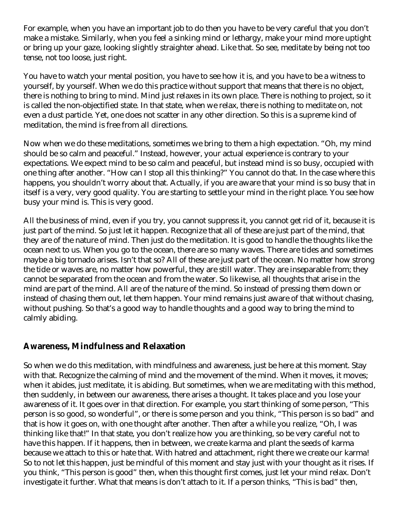For example, when you have an important job to do then you have to be very careful that you don't make a mistake. Similarly, when you feel a sinking mind or lethargy, make your mind more uptight or bring up your gaze, looking slightly straighter ahead. Like that. So see, meditate by being not too tense, not too loose, just right.

You have to watch your mental position, you have to see how it is, and you have to be a witness to yourself, by yourself. When we do this practice without support that means that there is no object, there is nothing to bring to mind. Mind just relaxes in its own place. There is nothing to project, so it is called the non-objectified state. In that state, when we relax, there is nothing to meditate on, not even a dust particle. Yet, one does not scatter in any other direction. So this is a supreme kind of meditation, the mind is free from all directions.

Now when we do these meditations, sometimes we bring to them a high expectation. "Oh, my mind should be so calm and peaceful." Instead, however, your actual experience is contrary to your expectations. We expect mind to be so calm and peaceful, but instead mind is so busy, occupied with one thing after another. "How can I stop all this thinking?" You cannot do that. In the case where this happens, you shouldn't worry about that. Actually, if you are aware that your mind is so busy that in itself is a very, very good quality. You are starting to settle your mind in the right place. You see how busy your mind is. This is very good.

All the business of mind, even if you try, you cannot suppress it, you cannot get rid of it, because it is just part of the mind. So just let it happen. Recognize that all of these are just part of the mind, that they are of the nature of mind. Then just do the meditation. It is good to handle the thoughts like the ocean next to us. When you go to the ocean, there are so many waves. There are tides and sometimes maybe a big tornado arises. Isn't that so? All of these are just part of the ocean. No matter how strong the tide or waves are, no matter how powerful, they are still water. They are inseparable from; they cannot be separated from the ocean and from the water. So likewise, all thoughts that arise in the mind are part of the mind. All are of the nature of the mind. So instead of pressing them down or instead of chasing them out, let them happen. Your mind remains just aware of that without chasing, without pushing. So that's a good way to handle thoughts and a good way to bring the mind to calmly abiding.

#### **Awareness, Mindfulness and Relaxation**

So when we do this meditation, with mindfulness and awareness, just be here at this moment. Stay with that. Recognize the calming of mind and the movement of the mind. When it moves, it moves; when it abides, just meditate, it is abiding. But sometimes, when we are meditating with this method, then suddenly, in between our awareness, there arises a thought. It takes place and you lose your awareness of it. It goes over in that direction. For example, you start thinking of some person, "This person is so good, so wonderful", or there is some person and you think, "This person is so bad" and that is how it goes on, with one thought after another. Then after a while you realize, "Oh, I was thinking like that!" In that state, you don't realize how you are thinking, so be very careful not to have this happen. If it happens, then in between, we create karma and plant the seeds of karma because we attach to this or hate that. With hatred and attachment, right there we create our karma! So to not let this happen, just be mindful of this moment and stay just with your thought as it rises. If you think, "This person is good" then, when this thought first comes, just let your mind relax. Don't investigate it further. What that means is don't attach to it. If a person thinks, "This is bad" then,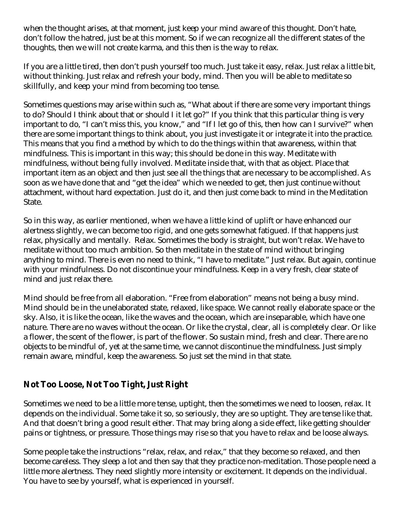when the thought arises, at that moment, just keep your mind aware of this thought. Don't hate, don't follow the hatred, just be at this moment. So if we can recognize all the different states of the thoughts, then we will not create karma, and this then is the way to relax.

If you are a little tired, then don't push yourself too much. Just take it easy, relax. Just relax a little bit, without thinking. Just relax and refresh your body, mind. Then you will be able to meditate so skillfully, and keep your mind from becoming too tense.

Sometimes questions may arise within such as, "What about if there are some very important things to do? Should I think about that or should I it let go?" If you think that this particular thing is very important to do, "I can't miss this, you know," and "If I let go of this, then how can I survive?" when there are some important things to think about, you just investigate it or integrate it into the practice. This means that you find a method by which to do the things within that awareness, within that mindfulness. This is important in this way; this should be done in this way. Meditate with mindfulness, without being fully involved. Meditate inside that, with that as object. Place that important item as an object and then just see all the things that are necessary to be accomplished. As soon as we have done that and "get the idea" which we needed to get, then just continue without attachment, without hard expectation. Just do it, and then just come back to mind in the Meditation State.

So in this way, as earlier mentioned, when we have a little kind of uplift or have enhanced our alertness slightly, we can become too rigid, and one gets somewhat fatigued. If that happens just relax, physically and mentally. Relax. Sometimes the body is straight, but won't relax. We have to meditate without too much ambition. So then meditate in the state of mind without bringing anything to mind. There is even no need to think, "I have to meditate." Just relax. But again, continue with your mindfulness. Do not discontinue your mindfulness. Keep in a very fresh, clear state of mind and just relax there.

Mind should be free from all elaboration. "Free from elaboration" means not being a busy mind. Mind should be in the unelaborated state, relaxed, like space. We cannot really elaborate space or the sky. Also, it is like the ocean, like the waves and the ocean, which are inseparable, which have one nature. There are no waves without the ocean. Or like the crystal, clear, all is completely clear. Or like a flower, the scent of the flower, is part of the flower. So sustain mind, fresh and clear. There are no objects to be mindful of, yet at the same time, we cannot discontinue the mindfulness. Just simply remain aware, mindful, keep the awareness. So just set the mind in that state.

### **Not Too Loose, Not Too Tight, Just Right**

Sometimes we need to be a little more tense, uptight, then the sometimes we need to loosen, relax. It depends on the individual. Some take it so, so seriously, they are so uptight. They are tense like that. And that doesn't bring a good result either. That may bring along a side effect, like getting shoulder pains or tightness, or pressure. Those things may rise so that you have to relax and be loose always.

Some people take the instructions "relax, relax, and relax," that they become so relaxed, and then become careless. They sleep a lot and then say that they practice non-meditation. Those people need a little more alertness. They need slightly more intensity or excitement. It depends on the individual. You have to see by yourself, what is experienced in yourself.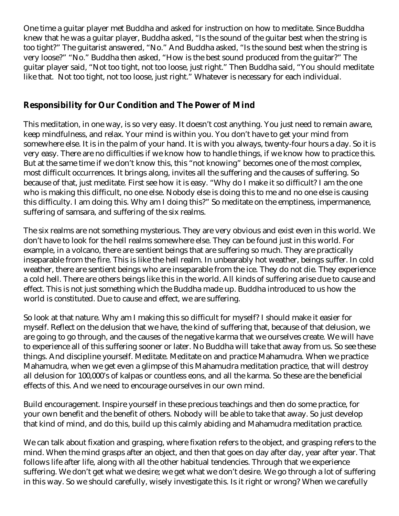One time a guitar player met Buddha and asked for instruction on how to meditate. Since Buddha knew that he was a guitar player, Buddha asked, "Is the sound of the guitar best when the string is too tight?" The guitarist answered, "No." And Buddha asked, "Is the sound best when the string is very loose?" "No." Buddha then asked, "How is the best sound produced from the guitar?" The guitar player said, "Not too tight, not too loose, just right." Then Buddha said, "You should meditate like that. Not too tight, not too loose, just right." Whatever is necessary for each individual.

#### **Responsibility for Our Condition and The Power of Mind**

This meditation, in one way, is so very easy. It doesn't cost anything. You just need to remain aware, keep mindfulness, and relax. Your mind is within you. You don't have to get your mind from somewhere else. It is in the palm of your hand. It is with you always, twenty-four hours a day. So it is very easy. There are no difficulties if we know how to handle things, if we know how to practice this. But at the same time if we don't know this, this "not knowing" becomes one of the most complex, most difficult occurrences. It brings along, invites all the suffering and the causes of suffering. So because of that, just meditate. First see how it is easy. "Why do I make it so difficult? I am the one who is making this difficult, no one else. Nobody else is doing this to me and no one else is causing this difficulty. I am doing this. Why am I doing this?" So meditate on the emptiness, impermanence, suffering of samsara, and suffering of the six realms.

The six realms are not something mysterious. They are very obvious and exist even in this world. We don't have to look for the hell realms somewhere else. They can be found just in this world. For example, in a volcano, there are sentient beings that are suffering so much. They are practically inseparable from the fire. This is like the hell realm. In unbearably hot weather, beings suffer. In cold weather, there are sentient beings who are inseparable from the ice. They do not die. They experience a cold hell. There are others beings like this in the world. All kinds of suffering arise due to cause and effect. This is not just something which the Buddha made up. Buddha introduced to us how the world is constituted. Due to cause and effect, we are suffering.

So look at that nature. Why am I making this so difficult for myself? I should make it easier for myself. Reflect on the delusion that we have, the kind of suffering that, because of that delusion, we are going to go through, and the causes of the negative karma that we ourselves create. We will have to experience all of this suffering sooner or later. No Buddha will take that away from us. So see these things. And discipline yourself. Meditate. Meditate on and practice Mahamudra. When we practice Mahamudra, when we get even a glimpse of this Mahamudra meditation practice, that will destroy all delusion for 100,000's of kalpas or countless eons, and all the karma. So these are the beneficial effects of this. And we need to encourage ourselves in our own mind.

Build encouragement. Inspire yourself in these precious teachings and then do some practice, for your own benefit and the benefit of others. Nobody will be able to take that away. So just develop that kind of mind, and do this, build up this calmly abiding and Mahamudra meditation practice.

We can talk about fixation and grasping, where fixation refers to the object, and grasping refers to the mind. When the mind grasps after an object, and then that goes on day after day, year after year. That follows life after life, along with all the other habitual tendencies. Through that we experience suffering. We don't get what we desire; we get what we don't desire. We go through a lot of suffering in this way. So we should carefully, wisely investigate this. Is it right or wrong? When we carefully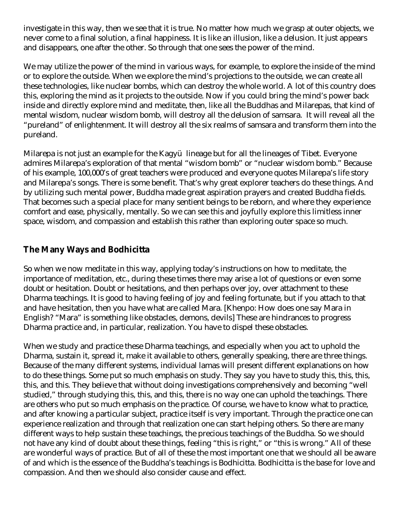investigate in this way, then we see that it is true. No matter how much we grasp at outer objects, we never come to a final solution, a final happiness. It is like an illusion, like a delusion. It just appears and disappears, one after the other. So through that one sees the power of the mind.

We may utilize the power of the mind in various ways, for example, to explore the inside of the mind or to explore the outside. When we explore the mind's projections to the outside, we can create all these technologies, like nuclear bombs, which can destroy the whole world. A lot of this country does this, exploring the mind as it projects to the outside. Now if you could bring the mind's power back inside and directly explore mind and meditate, then, like all the Buddhas and Milarepas, that kind of mental wisdom, nuclear wisdom bomb, will destroy all the delusion of samsara. It will reveal all the "pureland" of enlightenment. It will destroy all the six realms of samsara and transform them into the pureland.

Milarepa is not just an example for the Kagyü lineage but for all the lineages of Tibet. Everyone admires Milarepa's exploration of that mental "wisdom bomb" or "nuclear wisdom bomb." Because of his example, 100,000's of great teachers were produced and everyone quotes Milarepa's life story and Milarepa's songs. There is some benefit. That's why great explorer teachers do these things. And by utilizing such mental power, Buddha made great aspiration prayers and created Buddha fields. That becomes such a special place for many sentient beings to be reborn, and where they experience comfort and ease, physically, mentally. So we can see this and joyfully explore this limitless inner space, wisdom, and compassion and establish this rather than exploring outer space so much.

#### **The Many Ways and Bodhicitta**

So when we now meditate in this way, applying today's instructions on how to meditate, the importance of meditation, etc., during these times there may arise a lot of questions or even some doubt or hesitation. Doubt or hesitations, and then perhaps over joy, over attachment to these Dharma teachings. It is good to having feeling of joy and feeling fortunate, but if you attach to that and have hesitation, then you have what are called Mara. [Khenpo: How does one say Mara in English? "Mara" is something like obstacles, demons, devils] These are hindrances to progress Dharma practice and, in particular, realization. You have to dispel these obstacles.

When we study and practice these Dharma teachings, and especially when you act to uphold the Dharma, sustain it, spread it, make it available to others, generally speaking, there are three things. Because of the many different systems, individual lamas will present different explanations on how to do these things. Some put so much emphasis on study. They say you have to study this, this, this, this, and this. They believe that without doing investigations comprehensively and becoming "well studied," through studying this, this, and this, there is no way one can uphold the teachings. There are others who put so much emphasis on the practice. Of course, we have to know what to practice, and after knowing a particular subject, practice itself is very important. Through the practice one can experience realization and through that realization one can start helping others. So there are many different ways to help sustain these teachings, the precious teachings of the Buddha. So we should not have any kind of doubt about these things, feeling "this is right," or "this is wrong." All of these are wonderful ways of practice. But of all of these the most important one that we should all be aware of and which is the essence of the Buddha's teachings is Bodhicitta. Bodhicitta is the base for love and compassion. And then we should also consider cause and effect.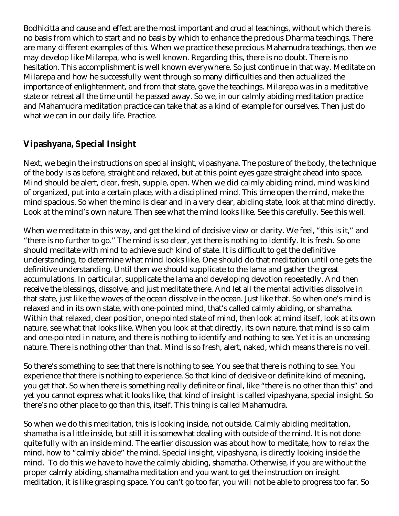Bodhicitta and cause and effect are the most important and crucial teachings, without which there is no basis from which to start and no basis by which to enhance the precious Dharma teachings. There are many different examples of this. When we practice these precious Mahamudra teachings, then we may develop like Milarepa, who is well known. Regarding this, there is no doubt. There is no hesitation. This accomplishment is well known everywhere. So just continue in that way. Meditate on Milarepa and how he successfully went through so many difficulties and then actualized the importance of enlightenment, and from that state, gave the teachings. Milarepa was in a meditative state or retreat all the time until he passed away. So we, in our calmly abiding meditation practice and Mahamudra meditation practice can take that as a kind of example for ourselves. Then just do what we can in our daily life. Practice.

#### **Vipashyana, Special Insight**

Next, we begin the instructions on special insight, vipashyana. The posture of the body, the technique of the body is as before, straight and relaxed, but at this point eyes gaze straight ahead into space. Mind should be alert, clear, fresh, supple, open. When we did calmly abiding mind, mind was kind of organized, put into a certain place, with a disciplined mind. This time open the mind, make the mind spacious. So when the mind is clear and in a very clear, abiding state, look at that mind directly. Look at the mind's own nature. Then see what the mind looks like. See this carefully. See this well.

When we meditate in this way, and get the kind of decisive view or clarity. We feel, "this is it," and "there is no further to go." The mind is so clear, yet there is nothing to identify. It is fresh. So one should meditate with mind to achieve such kind of state. It is difficult to get the definitive understanding, to determine what mind looks like. One should do that meditation until one gets the definitive understanding. Until then we should supplicate to the lama and gather the great accumulations. In particular, supplicate the lama and developing devotion repeatedly. And then receive the blessings, dissolve, and just meditate there. And let all the mental activities dissolve in that state, just like the waves of the ocean dissolve in the ocean. Just like that. So when one's mind is relaxed and in its own state, with one-pointed mind, that's called calmly abiding, or shamatha. Within that relaxed, clear position, one-pointed state of mind, then look at mind itself, look at its own nature, see what that looks like. When you look at that directly, its own nature, that mind is so calm and one-pointed in nature, and there is nothing to identify and nothing to see. Yet it is an unceasing nature. There is nothing other than that. Mind is so fresh, alert, naked, which means there is no veil.

So there's something to see: that there is nothing to see. You see that there is nothing to see. You experience that there is nothing to experience. So that kind of decisive or definite kind of meaning, you get that. So when there is something really definite or final, like "there is no other than this" and yet you cannot express what it looks like, that kind of insight is called vipashyana, special insight. So there's no other place to go than this, itself. This thing is called Mahamudra.

So when we do this meditation, this is looking inside, not outside. Calmly abiding meditation, shamatha is a little inside, but still it is somewhat dealing with outside of the mind. It is not done quite fully with an inside mind. The earlier discussion was about how to meditate, how to relax the mind, how to "calmly abide" the mind. Special insight, vipashyana, is directly looking inside the mind. To do this we have to have the calmly abiding, shamatha. Otherwise, if you are without the proper calmly abiding, shamatha meditation and you want to get the instruction on insight meditation, it is like grasping space. You can't go too far, you will not be able to progress too far. So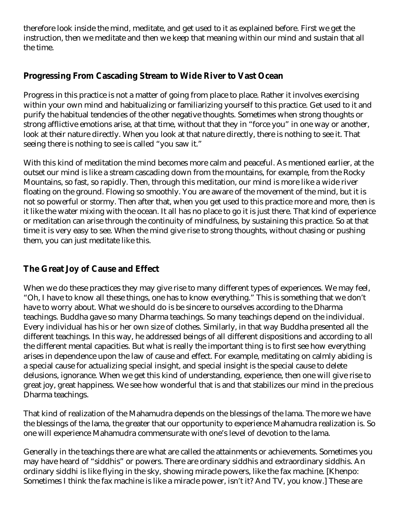therefore look inside the mind, meditate, and get used to it as explained before. First we get the instruction, then we meditate and then we keep that meaning within our mind and sustain that all the time.

#### **Progressing From Cascading Stream to Wide River to Vast Ocean**

Progress in this practice is not a matter of going from place to place. Rather it involves exercising within your own mind and habitualizing or familiarizing yourself to this practice. Get used to it and purify the habitual tendencies of the other negative thoughts. Sometimes when strong thoughts or strong afflictive emotions arise, at that time, without that they in "force you" in one way or another, look at their nature directly. When you look at that nature directly, there is nothing to see it. That seeing there is nothing to see is called "you saw it."

With this kind of meditation the mind becomes more calm and peaceful. As mentioned earlier, at the outset our mind is like a stream cascading down from the mountains, for example, from the Rocky Mountains, so fast, so rapidly. Then, through this meditation, our mind is more like a wide river floating on the ground. Flowing so smoothly. You are aware of the movement of the mind, but it is not so powerful or stormy. Then after that, when you get used to this practice more and more, then is it like the water mixing with the ocean. It all has no place to go it is just there. That kind of experience or meditation can arise through the continuity of mindfulness, by sustaining this practice. So at that time it is very easy to see. When the mind give rise to strong thoughts, without chasing or pushing them, you can just meditate like this.

### **The Great Joy of Cause and Effect**

When we do these practices they may give rise to many different types of experiences. We may feel, "Oh, I have to know all these things, one has to know everything." This is something that we don't have to worry about. What we should do is be sincere to ourselves according to the Dharma teachings. Buddha gave so many Dharma teachings. So many teachings depend on the individual. Every individual has his or her own size of clothes. Similarly, in that way Buddha presented all the different teachings. In this way, he addressed beings of all different dispositions and according to all the different mental capacities. But what is really the important thing is to first see how everything arises in dependence upon the law of cause and effect. For example, meditating on calmly abiding is a special cause for actualizing special insight, and special insight is the special cause to delete delusions, ignorance. When we get this kind of understanding, experience, then one will give rise to great joy, great happiness. We see how wonderful that is and that stabilizes our mind in the precious Dharma teachings.

That kind of realization of the Mahamudra depends on the blessings of the lama. The more we have the blessings of the lama, the greater that our opportunity to experience Mahamudra realization is. So one will experience Mahamudra commensurate with one's level of devotion to the lama.

Generally in the teachings there are what are called the attainments or achievements. Sometimes you may have heard of "siddhis" or powers. There are ordinary siddhis and extraordinary siddhis. An ordinary siddhi is like flying in the sky, showing miracle powers, like the fax machine. [Khenpo: Sometimes I think the fax machine is like a miracle power, isn't it? And TV, you know.] These are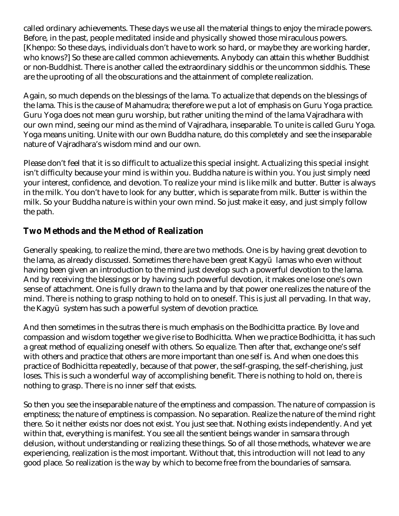called ordinary achievements. These days we use all the material things to enjoy the miracle powers. Before, in the past, people meditated inside and physically showed those miraculous powers. [Khenpo: So these days, individuals don't have to work so hard, or maybe they are working harder, who knows?] So these are called common achievements. Anybody can attain this whether Buddhist or non-Buddhist. There is another called the extraordinary siddhis or the uncommon siddhis. These are the uprooting of all the obscurations and the attainment of complete realization.

Again, so much depends on the blessings of the lama. To actualize that depends on the blessings of the lama. This is the cause of Mahamudra; therefore we put a lot of emphasis on Guru Yoga practice. Guru Yoga does not mean guru worship, but rather uniting the mind of the lama Vajradhara with our own mind, seeing our mind as the mind of Vajradhara, inseparable. To unite is called Guru Yoga. Yoga means uniting. Unite with our own Buddha nature, do this completely and see the inseparable nature of Vajradhara's wisdom mind and our own.

Please don't feel that it is so difficult to actualize this special insight. Actualizing this special insight isn't difficulty because your mind is within you. Buddha nature is within you. You just simply need your interest, confidence, and devotion. To realize your mind is like milk and butter. Butter is always in the milk. You don't have to look for any butter, which is separate from milk. Butter is within the milk. So your Buddha nature is within your own mind. So just make it easy, and just simply follow the path.

#### **Two Methods and the Method of Realization**

Generally speaking, to realize the mind, there are two methods. One is by having great devotion to the lama, as already discussed. Sometimes there have been great Kagyü lamas who even without having been given an introduction to the mind just develop such a powerful devotion to the lama. And by receiving the blessings or by having such powerful devotion, it makes one lose one's own sense of attachment. One is fully drawn to the lama and by that power one realizes the nature of the mind. There is nothing to grasp nothing to hold on to oneself. This is just all pervading. In that way, the Kagyü system has such a powerful system of devotion practice.

And then sometimes in the sutras there is much emphasis on the Bodhicitta practice. By love and compassion and wisdom together we give rise to Bodhicitta. When we practice Bodhicitta, it has such a great method of equalizing oneself with others. So equalize. Then after that, exchange one's self with others and practice that others are more important than one self is. And when one does this practice of Bodhicitta repeatedly, because of that power, the self-grasping, the self-cherishing, just loses. This is such a wonderful way of accomplishing benefit. There is nothing to hold on, there is nothing to grasp. There is no inner self that exists.

So then you see the inseparable nature of the emptiness and compassion. The nature of compassion is emptiness; the nature of emptiness is compassion. No separation. Realize the nature of the mind right there. So it neither exists nor does not exist. You just see that. Nothing exists independently. And yet within that, everything is manifest. You see all the sentient beings wander in samsara through delusion, without understanding or realizing these things. So of all those methods, whatever we are experiencing, realization is the most important. Without that, this introduction will not lead to any good place. So realization is the way by which to become free from the boundaries of samsara.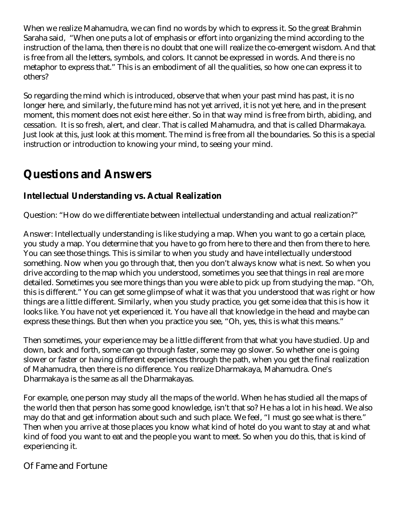When we realize Mahamudra, we can find no words by which to express it. So the great Brahmin Saraha said, "When one puts a lot of emphasis or effort into organizing the mind according to the instruction of the lama, then there is no doubt that one will realize the co-emergent wisdom. And that is free from all the letters, symbols, and colors. It cannot be expressed in words. And there is no metaphor to express that." This is an embodiment of all the qualities, so how one can express it to others?

So regarding the mind which is introduced, observe that when your past mind has past, it is no longer here, and similarly, the future mind has not yet arrived, it is not yet here, and in the present moment, this moment does not exist here either. So in that way mind is free from birth, abiding, and cessation. It is so fresh, alert, and clear. That is called Mahamudra, and that is called Dharmakaya. Just look at this, just look at this moment. The mind is free from all the boundaries. So this is a special instruction or introduction to knowing your mind, to seeing your mind.

# **Questions and Answers**

### **Intellectual Understanding vs. Actual Realization**

Question: "How do we differentiate between intellectual understanding and actual realization?"

Answer: Intellectually understanding is like studying a map. When you want to go a certain place, you study a map. You determine that you have to go from here to there and then from there to here. You can see those things. This is similar to when you study and have intellectually understood something. Now when you go through that, then you don't always know what is next. So when you drive according to the map which you understood, sometimes you see that things in real are more detailed. Sometimes you see more things than you were able to pick up from studying the map. "Oh, this is different." You can get some glimpse of what it was that you understood that was right or how things are a little different. Similarly, when you study practice, you get some idea that this is how it looks like. You have not yet experienced it. You have all that knowledge in the head and maybe can express these things. But then when you practice you see, "Oh, yes, this is what this means."

Then sometimes, your experience may be a little different from that what you have studied. Up and down, back and forth, some can go through faster, some may go slower. So whether one is going slower or faster or having different experiences through the path, when you get the final realization of Mahamudra, then there is no difference. You realize Dharmakaya, Mahamudra. One's Dharmakaya is the same as all the Dharmakayas.

For example, one person may study all the maps of the world. When he has studied all the maps of the world then that person has some good knowledge, isn't that so? He has a lot in his head. We also may do that and get information about such and such place. We feel, "I must go see what is there." Then when you arrive at those places you know what kind of hotel do you want to stay at and what kind of food you want to eat and the people you want to meet. So when you do this, that is kind of experiencing it.

#### Of Fame and Fortune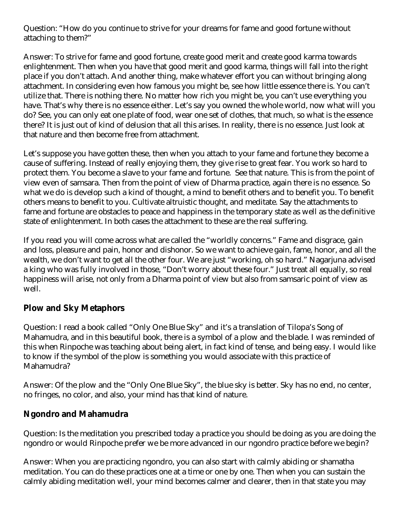Question: "How do you continue to strive for your dreams for fame and good fortune without attaching to them?"

Answer: To strive for fame and good fortune, create good merit and create good karma towards enlightenment. Then when you have that good merit and good karma, things will fall into the right place if you don't attach. And another thing, make whatever effort you can without bringing along attachment. In considering even how famous you might be, see how little essence there is. You can't utilize that. There is nothing there. No matter how rich you might be, you can't use everything you have. That's why there is no essence either. Let's say you owned the whole world, now what will you do? See, you can only eat one plate of food, wear one set of clothes, that much, so what is the essence there? It is just out of kind of delusion that all this arises. In reality, there is no essence. Just look at that nature and then become free from attachment.

Let's suppose you have gotten these, then when you attach to your fame and fortune they become a cause of suffering. Instead of really enjoying them, they give rise to great fear. You work so hard to protect them. You become a slave to your fame and fortune. See that nature. This is from the point of view even of samsara. Then from the point of view of Dharma practice, again there is no essence. So what we do is develop such a kind of thought, a mind to benefit others and to benefit you. To benefit others means to benefit to you. Cultivate altruistic thought, and meditate. Say the attachments to fame and fortune are obstacles to peace and happiness in the temporary state as well as the definitive state of enlightenment. In both cases the attachment to these are the real suffering.

If you read you will come across what are called the "worldly concerns." Fame and disgrace, gain and loss, pleasure and pain, honor and dishonor. So we want to achieve gain, fame, honor, and all the wealth, we don't want to get all the other four. We are just "working, oh so hard." Nagarjuna advised a king who was fully involved in those, "Don't worry about these four." Just treat all equally, so real happiness will arise, not only from a Dharma point of view but also from samsaric point of view as well.

#### **Plow and Sky Metaphors**

Question: I read a book called "Only One Blue Sky" and it's a translation of Tilopa's Song of Mahamudra, and in this beautiful book, there is a symbol of a plow and the blade. I was reminded of this when Rinpoche was teaching about being alert, in fact kind of tense, and being easy. I would like to know if the symbol of the plow is something you would associate with this practice of Mahamudra?

Answer: Of the plow and the "Only One Blue Sky", the blue sky is better. Sky has no end, no center, no fringes, no color, and also, your mind has that kind of nature.

#### **Ngondro and Mahamudra**

Question: Is the meditation you prescribed today a practice you should be doing as you are doing the ngondro or would Rinpoche prefer we be more advanced in our ngondro practice before we begin?

Answer: When you are practicing ngondro, you can also start with calmly abiding or shamatha meditation. You can do these practices one at a time or one by one. Then when you can sustain the calmly abiding meditation well, your mind becomes calmer and clearer, then in that state you may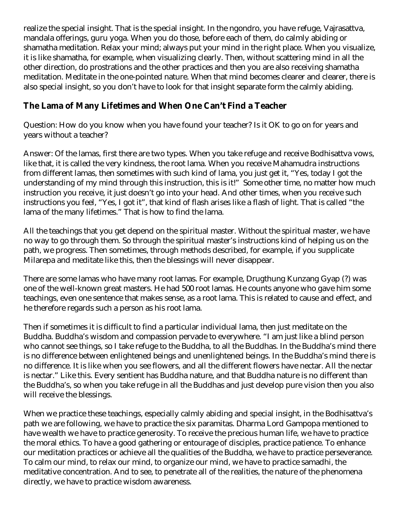realize the special insight. That is the special insight. In the ngondro, you have refuge, Vajrasattva, mandala offerings, guru yoga. When you do those, before each of them, do calmly abiding or shamatha meditation. Relax your mind; always put your mind in the right place. When you visualize, it is like shamatha, for example, when visualizing clearly. Then, without scattering mind in all the other direction, do prostrations and the other practices and then you are also receiving shamatha meditation. Meditate in the one-pointed nature. When that mind becomes clearer and clearer, there is also special insight, so you don't have to look for that insight separate form the calmly abiding.

#### **The Lama of Many Lifetimes and When One Can't Find a Teacher**

Question: How do you know when you have found your teacher? Is it OK to go on for years and years without a teacher?

Answer: Of the lamas, first there are two types. When you take refuge and receive Bodhisattva vows, like that, it is called the very kindness, the root lama. When you receive Mahamudra instructions from different lamas, then sometimes with such kind of lama, you just get it, "Yes, today I got the understanding of my mind through this instruction, this is it!" Some other time, no matter how much instruction you receive, it just doesn't go into your head. And other times, when you receive such instructions you feel, "Yes, I got it", that kind of flash arises like a flash of light. That is called "the lama of the many lifetimes." That is how to find the lama.

All the teachings that you get depend on the spiritual master. Without the spiritual master, we have no way to go through them. So through the spiritual master's instructions kind of helping us on the path, we progress. Then sometimes, through methods described, for example, if you supplicate Milarepa and meditate like this, then the blessings will never disappear.

There are some lamas who have many root lamas. For example, Drugthung Kunzang Gyap (?) was one of the well-known great masters. He had 500 root lamas. He counts anyone who gave him some teachings, even one sentence that makes sense, as a root lama. This is related to cause and effect, and he therefore regards such a person as his root lama.

Then if sometimes it is difficult to find a particular individual lama, then just meditate on the Buddha. Buddha's wisdom and compassion pervade to everywhere. "I am just like a blind person who cannot see things, so I take refuge to the Buddha, to all the Buddhas. In the Buddha's mind there is no difference between enlightened beings and unenlightened beings. In the Buddha's mind there is no difference. It is like when you see flowers, and all the different flowers have nectar. All the nectar is nectar." Like this. Every sentient has Buddha nature, and that Buddha nature is no different than the Buddha's, so when you take refuge in all the Buddhas and just develop pure vision then you also will receive the blessings.

When we practice these teachings, especially calmly abiding and special insight, in the Bodhisattva's path we are following, we have to practice the six paramitas. Dharma Lord Gampopa mentioned to have wealth we have to practice generosity. To receive the precious human life, we have to practice the moral ethics. To have a good gathering or entourage of disciples, practice patience. To enhance our meditation practices or achieve all the qualities of the Buddha, we have to practice perseverance. To calm our mind, to relax our mind, to organize our mind, we have to practice samadhi, the meditative concentration. And to see, to penetrate all of the realities, the nature of the phenomena directly, we have to practice wisdom awareness.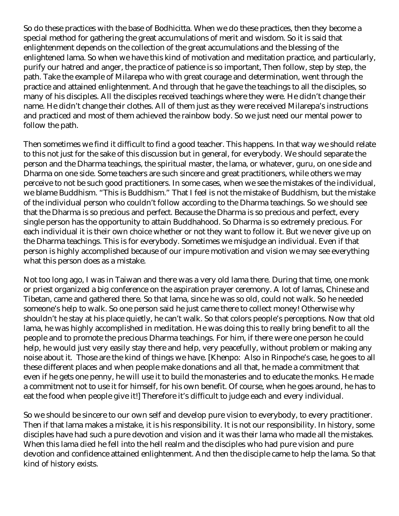So do these practices with the base of Bodhicitta. When we do these practices, then they become a special method for gathering the great accumulations of merit and wisdom. So it is said that enlightenment depends on the collection of the great accumulations and the blessing of the enlightened lama. So when we have this kind of motivation and meditation practice, and particularly, purify our hatred and anger, the practice of patience is so important, Then follow, step by step, the path. Take the example of Milarepa who with great courage and determination, went through the practice and attained enlightenment. And through that he gave the teachings to all the disciples, so many of his disciples. All the disciples received teachings where they were. He didn't change their name. He didn't change their clothes. All of them just as they were received Milarepa's instructions and practiced and most of them achieved the rainbow body. So we just need our mental power to follow the path.

Then sometimes we find it difficult to find a good teacher. This happens. In that way we should relate to this not just for the sake of this discussion but in general, for everybody. We should separate the person and the Dharma teachings, the spiritual master, the lama, or whatever, guru, on one side and Dharma on one side. Some teachers are such sincere and great practitioners, while others we may perceive to not be such good practitioners. In some cases, when we see the mistakes of the individual, we blame Buddhism. "This is Buddhism." That I feel is not the mistake of Buddhism, but the mistake of the individual person who couldn't follow according to the Dharma teachings. So we should see that the Dharma is so precious and perfect. Because the Dharma is so precious and perfect, every single person has the opportunity to attain Buddhahood. So Dharma is so extremely precious. For each individual it is their own choice whether or not they want to follow it. But we never give up on the Dharma teachings. This is for everybody. Sometimes we misjudge an individual. Even if that person is highly accomplished because of our impure motivation and vision we may see everything what this person does as a mistake.

Not too long ago, I was in Taiwan and there was a very old lama there. During that time, one monk or priest organized a big conference on the aspiration prayer ceremony. A lot of lamas, Chinese and Tibetan, came and gathered there. So that lama, since he was so old, could not walk. So he needed someone's help to walk. So one person said he just came there to collect money! Otherwise why shouldn't he stay at his place quietly, he can't walk. So that colors people's perceptions. Now that old lama, he was highly accomplished in meditation. He was doing this to really bring benefit to all the people and to promote the precious Dharma teachings. For him, if there were one person he could help, he would just very easily stay there and help, very peacefully, without problem or making any noise about it. Those are the kind of things we have. [Khenpo: Also in Rinpoche's case, he goes to all these different places and when people make donations and all that, he made a commitment that even if he gets one penny, he will use it to build the monasteries and to educate the monks. He made a commitment not to use it for himself, for his own benefit. Of course, when he goes around, he has to eat the food when people give it!] Therefore it's difficult to judge each and every individual.

So we should be sincere to our own self and develop pure vision to everybody, to every practitioner. Then if that lama makes a mistake, it is his responsibility. It is not our responsibility. In history, some disciples have had such a pure devotion and vision and it was their lama who made all the mistakes. When this lama died he fell into the hell realm and the disciples who had pure vision and pure devotion and confidence attained enlightenment. And then the disciple came to help the lama. So that kind of history exists.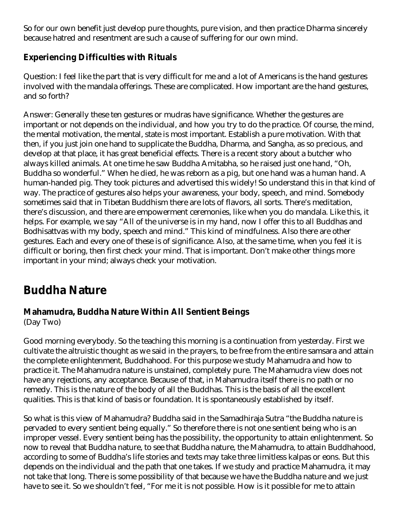So for our own benefit just develop pure thoughts, pure vision, and then practice Dharma sincerely because hatred and resentment are such a cause of suffering for our own mind.

#### **Experiencing Difficulties with Rituals**

Question: I feel like the part that is very difficult for me and a lot of Americans is the hand gestures involved with the mandala offerings. These are complicated. How important are the hand gestures, and so forth?

Answer: Generally these ten gestures or mudras have significance. Whether the gestures are important or not depends on the individual, and how you try to do the practice. Of course, the mind, the mental motivation, the mental, state is most important. Establish a pure motivation. With that then, if you just join one hand to supplicate the Buddha, Dharma, and Sangha, as so precious, and develop at that place, it has great beneficial effects. There is a recent story about a butcher who always killed animals. At one time he saw Buddha Amitabha, so he raised just one hand, "Oh, Buddha so wonderful." When he died, he was reborn as a pig, but one hand was a human hand. A human-handed pig. They took pictures and advertised this widely! So understand this in that kind of way. The practice of gestures also helps your awareness, your body, speech, and mind. Somebody sometimes said that in Tibetan Buddhism there are lots of flavors, all sorts. There's meditation, there's discussion, and there are empowerment ceremonies, like when you do mandala. Like this, it helps. For example, we say "All of the universe is in my hand, now I offer this to all Buddhas and Bodhisattvas with my body, speech and mind." This kind of mindfulness. Also there are other gestures. Each and every one of these is of significance. Also, at the same time, when you feel it is difficult or boring, then first check your mind. That is important. Don't make other things more important in your mind; always check your motivation.

# **Buddha Nature**

### **Mahamudra, Buddha Nature Within All Sentient Beings**

(Day Two)

Good morning everybody. So the teaching this morning is a continuation from yesterday. First we cultivate the altruistic thought as we said in the prayers, to be free from the entire samsara and attain the complete enlightenment, Buddhahood. For this purpose we study Mahamudra and how to practice it. The Mahamudra nature is unstained, completely pure. The Mahamudra view does not have any rejections, any acceptance. Because of that, in Mahamudra itself there is no path or no remedy. This is the nature of the body of all the Buddhas. This is the basis of all the excellent qualities. This is that kind of basis or foundation. It is spontaneously established by itself.

So what is this view of Mahamudra? Buddha said in the Samadhiraja Sutra "the Buddha nature is pervaded to every sentient being equally." So therefore there is not one sentient being who is an improper vessel. Every sentient being has the possibility, the opportunity to attain enlightenment. So now to reveal that Buddha nature, to see that Buddha nature, the Mahamudra, to attain Buddhahood, according to some of Buddha's life stories and texts may take three limitless kalpas or eons. But this depends on the individual and the path that one takes. If we study and practice Mahamudra, it may not take that long. There is some possibility of that because we have the Buddha nature and we just have to see it. So we shouldn't feel, "For me it is not possible. How is it possible for me to attain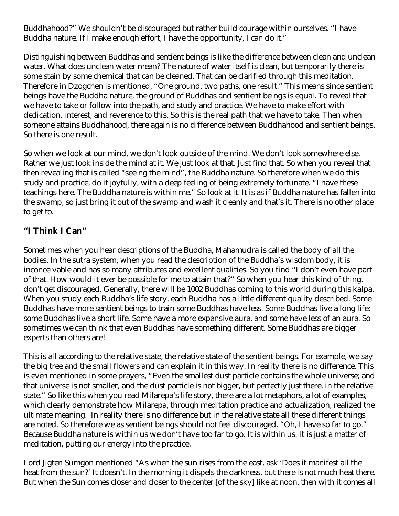Buddhahood?" We shouldn't be discouraged but rather build courage within ourselves. "I have Buddha nature. If I make enough effort, I have the opportunity, I can do it."

Distinguishing between Buddhas and sentient beings is like the difference between clean and unclean water. What does unclean water mean? The nature of water itself is clean, but temporarily there is some stain by some chemical that can be cleaned. That can be clarified through this meditation. Therefore in Dzogchen is mentioned, "One ground, two paths, one result." This means since sentient beings have the Buddha nature, the ground of Buddhas and sentient beings is equal. To reveal that we have to take or follow into the path, and study and practice. We have to make effort with dedication, interest, and reverence to this. So this is the real path that we have to take. Then when someone attains Buddhahood, there again is no difference between Buddhahood and sentient beings. So there is one result.

So when we look at our mind, we don't look outside of the mind. We don't look somewhere else. Rather we just look inside the mind at it. We just look at that. Just find that. So when you reveal that then revealing that is called "seeing the mind", the Buddha nature. So therefore when we do this study and practice, do it joyfully, with a deep feeling of being extremely fortunate. "I have these teachings here. The Buddha nature is within me." So look at it. It is as if Buddha nature has fallen into the swamp, so just bring it out of the swamp and wash it cleanly and that's it. There is no other place to get to.

#### **"I Think I Can"**

Sometimes when you hear descriptions of the Buddha, Mahamudra is called the body of all the bodies. In the sutra system, when you read the description of the Buddha's wisdom body, it is inconceivable and has so many attributes and excellent qualities. So you find "I don't even have part of that. How would it ever be possible for me to attain that?" So when you hear this kind of thing, don't get discouraged. Generally, there will be 1002 Buddhas coming to this world during this kalpa. When you study each Buddha's life story, each Buddha has a little different quality described. Some Buddhas have more sentient beings to train some Buddhas have less. Some Buddhas live a long life; some Buddhas live a short life. Some have a more expansive aura, and some have less of an aura. So sometimes we can think that even Buddhas have something different. Some Buddhas are bigger experts than others are!

This is all according to the relative state, the relative state of the sentient beings. For example, we say the big tree and the small flowers and can explain it in this way. In reality there is no difference. This is even mentioned in some prayers, "Even the smallest dust particle contains the whole universe; and that universe is not smaller, and the dust particle is not bigger, but perfectly just there, in the relative state." So like this when you read Milarepa's life story, there are a lot metaphors, a lot of examples, which clearly demonstrate how Milarepa, through meditation practice and actualization, realized the ultimate meaning. In reality there is no difference but in the relative state all these different things are noted. So therefore we as sentient beings should not feel discouraged. "Oh, I have so far to go." Because Buddha nature is within us we don't have too far to go. It is within us. It is just a matter of meditation, putting our energy into the practice.

Lord Jigten Sumgon mentioned "As when the sun rises from the east, ask 'Does it manifest all the heat from the sun?' It doesn't. In the morning it dispels the darkness, but there is not much heat there. But when the Sun comes closer and closer to the center [of the sky] like at noon, then with it comes all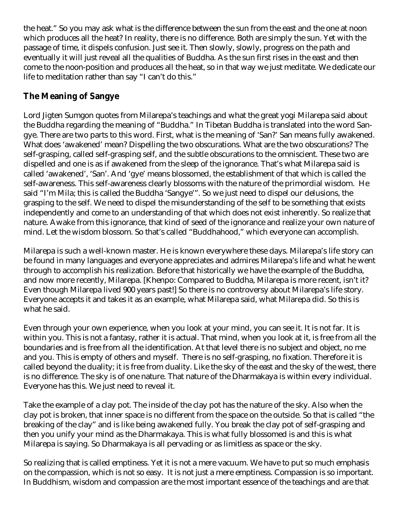the heat." So you may ask what is the difference between the sun from the east and the one at noon which produces all the heat? In reality, there is no difference. Both are simply the sun. Yet with the passage of time, it dispels confusion. Just see it. Then slowly, slowly, progress on the path and eventually it will just reveal all the qualities of Buddha. As the sun first rises in the east and then come to the noon-position and produces all the heat, so in that way we just meditate. We dedicate our life to meditation rather than say "I can't do this."

## **The Meaning of Sangye**

Lord Jigten Sumgon quotes from Milarepa's teachings and what the great yogi Milarepa said about the Buddha regarding the meaning of "Buddha." In Tibetan Buddha is translated into the word Sangye. There are two parts to this word. First, what is the meaning of 'San?' San means fully awakened. What does 'awakened' mean? Dispelling the two obscurations. What are the two obscurations? The self-grasping, called self-grasping self, and the subtle obscurations to the omniscient. These two are dispelled and one is as if awakened from the sleep of the ignorance. That's what Milarepa said is called 'awakened', 'San'. And 'gye' means blossomed, the establishment of that which is called the self-awareness. This self-awareness clearly blossoms with the nature of the primordial wisdom. He said "I'm Mila; this is called the Buddha 'Sangye'". So we just need to dispel our delusions, the grasping to the self. We need to dispel the misunderstanding of the self to be something that exists independently and come to an understanding of that which does not exist inherently. So realize that nature. Awake from this ignorance, that kind of seed of the ignorance and realize your own nature of mind. Let the wisdom blossom. So that's called "Buddhahood," which everyone can accomplish.

Milarepa is such a well-known master. He is known everywhere these days. Milarepa's life story can be found in many languages and everyone appreciates and admires Milarepa's life and what he went through to accomplish his realization. Before that historically we have the example of the Buddha, and now more recently, Milarepa. [Khenpo: Compared to Buddha, Milarepa is more recent, isn't it? Even though Milarepa lived 900 years past!] So there is no controversy about Milarepa's life story. Everyone accepts it and takes it as an example, what Milarepa said, what Milarepa did. So this is what he said.

Even through your own experience, when you look at your mind, you can see it. It is not far. It is within you. This is not a fantasy, rather it is actual. That mind, when you look at it, is free from all the boundaries and is free from all the identification. At that level there is no subject and object, no me and you. This is empty of others and myself. There is no self-grasping, no fixation. Therefore it is called beyond the duality; it is free from duality. Like the sky of the east and the sky of the west, there is no difference. The sky is of one nature. That nature of the Dharmakaya is within every individual. Everyone has this. We just need to reveal it.

Take the example of a clay pot. The inside of the clay pot has the nature of the sky. Also when the clay pot is broken, that inner space is no different from the space on the outside. So that is called "the breaking of the clay" and is like being awakened fully. You break the clay pot of self-grasping and then you unify your mind as the Dharmakaya. This is what fully blossomed is and this is what Milarepa is saying. So Dharmakaya is all pervading or as limitless as space or the sky.

So realizing that is called emptiness. Yet it is not a mere vacuum. We have to put so much emphasis on the compassion, which is not so easy. It is not just a mere emptiness. Compassion is so important. In Buddhism, wisdom and compassion are the most important essence of the teachings and are that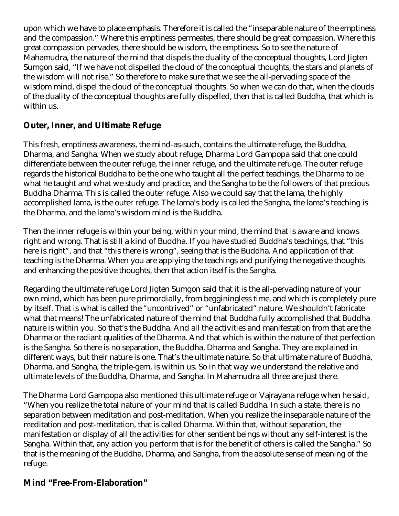upon which we have to place emphasis. Therefore it is called the "inseparable nature of the emptiness and the compassion." Where this emptiness permeates, there should be great compassion. Where this great compassion pervades, there should be wisdom, the emptiness. So to see the nature of Mahamudra, the nature of the mind that dispels the duality of the conceptual thoughts, Lord Jigten Sumgon said, "If we have not dispelled the cloud of the conceptual thoughts, the stars and planets of the wisdom will not rise." So therefore to make sure that we see the all-pervading space of the wisdom mind, dispel the cloud of the conceptual thoughts. So when we can do that, when the clouds of the duality of the conceptual thoughts are fully dispelled, then that is called Buddha, that which is within us.

#### **Outer, Inner, and Ultimate Refuge**

This fresh, emptiness awareness, the mind-as-such, contains the ultimate refuge, the Buddha, Dharma, and Sangha. When we study about refuge, Dharma Lord Gampopa said that one could differentiate between the outer refuge, the inner refuge, and the ultimate refuge. The outer refuge regards the historical Buddha to be the one who taught all the perfect teachings, the Dharma to be what he taught and what we study and practice, and the Sangha to be the followers of that precious Buddha Dharma. This is called the outer refuge. Also we could say that the lama, the highly accomplished lama, is the outer refuge. The lama's body is called the Sangha, the lama's teaching is the Dharma, and the lama's wisdom mind is the Buddha.

Then the inner refuge is within your being, within your mind, the mind that is aware and knows right and wrong. That is still a kind of Buddha. If you have studied Buddha's teachings, that "this here is right", and that "this there is wrong", seeing that is the Buddha. And application of that teaching is the Dharma. When you are applying the teachings and purifying the negative thoughts and enhancing the positive thoughts, then that action itself is the Sangha.

Regarding the ultimate refuge Lord Jigten Sumgon said that it is the all-pervading nature of your own mind, which has been pure primordially, from begginingless time, and which is completely pure by itself. That is what is called the "uncontrived" or "unfabricated" nature. We shouldn't fabricate what that means! The unfabricated nature of the mind that Buddha fully accomplished that Buddha nature is within you. So that's the Buddha. And all the activities and manifestation from that are the Dharma or the radiant qualities of the Dharma. And that which is within the nature of that perfection is the Sangha. So there is no separation, the Buddha, Dharma and Sangha. They are explained in different ways, but their nature is one. That's the ultimate nature. So that ultimate nature of Buddha, Dharma, and Sangha, the triple-gem, is within us. So in that way we understand the relative and ultimate levels of the Buddha, Dharma, and Sangha. In Mahamudra all three are just there.

The Dharma Lord Gampopa also mentioned this ultimate refuge or Vajrayana refuge when he said, "When you realize the total nature of your mind that is called Buddha. In such a state, there is no separation between meditation and post-meditation. When you realize the inseparable nature of the meditation and post-meditation, that is called Dharma. Within that, without separation, the manifestation or display of all the activities for other sentient beings without any self-interest is the Sangha. Within that, any action you perform that is for the benefit of others is called the Sangha." So that is the meaning of the Buddha, Dharma, and Sangha, from the absolute sense of meaning of the refuge.

### **Mind "Free-From-Elaboration"**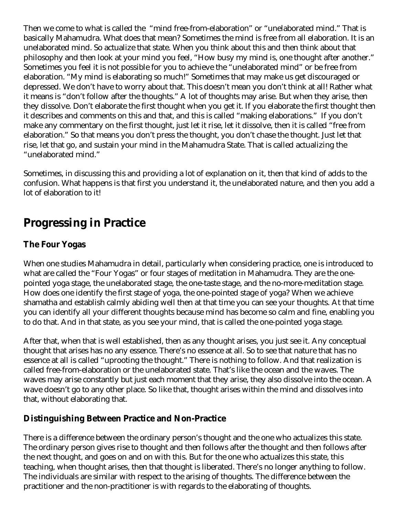Then we come to what is called the "mind free-from-elaboration" or "unelaborated mind." That is basically Mahamudra. What does that mean? Sometimes the mind is free from all elaboration. It is an unelaborated mind. So actualize that state. When you think about this and then think about that philosophy and then look at your mind you feel, "How busy my mind is, one thought after another." Sometimes you feel it is not possible for you to achieve the "unelaborated mind" or be free from elaboration. "My mind is elaborating so much!" Sometimes that may make us get discouraged or depressed. We don't have to worry about that. This doesn't mean you don't think at all! Rather what it means is "don't follow after the thoughts." A lot of thoughts may arise. But when they arise, then they dissolve. Don't elaborate the first thought when you get it. If you elaborate the first thought then it describes and comments on this and that, and this is called "making elaborations." If you don't make any commentary on the first thought, just let it rise, let it dissolve, then it is called "free from elaboration." So that means you don't press the thought, you don't chase the thought. Just let that rise, let that go, and sustain your mind in the Mahamudra State. That is called actualizing the "unelaborated mind."

Sometimes, in discussing this and providing a lot of explanation on it, then that kind of adds to the confusion. What happens is that first you understand it, the unelaborated nature, and then you add a lot of elaboration to it!

# **Progressing in Practice**

### **The Four Yogas**

When one studies Mahamudra in detail, particularly when considering practice, one is introduced to what are called the "Four Yogas" or four stages of meditation in Mahamudra. They are the onepointed yoga stage, the unelaborated stage, the one-taste stage, and the no-more-meditation stage. How does one identify the first stage of yoga, the one-pointed stage of yoga? When we achieve shamatha and establish calmly abiding well then at that time you can see your thoughts. At that time you can identify all your different thoughts because mind has become so calm and fine, enabling you to do that. And in that state, as you see your mind, that is called the one-pointed yoga stage.

After that, when that is well established, then as any thought arises, you just see it. Any conceptual thought that arises has no any essence. There's no essence at all. So to see that nature that has no essence at all is called "uprooting the thought." There is nothing to follow. And that realization is called free-from-elaboration or the unelaborated state. That's like the ocean and the waves. The waves may arise constantly but just each moment that they arise, they also dissolve into the ocean. A wave doesn't go to any other place. So like that, thought arises within the mind and dissolves into that, without elaborating that.

#### **Distinguishing Between Practice and Non-Practice**

There is a difference between the ordinary person's thought and the one who actualizes this state. The ordinary person gives rise to thought and then follows after the thought and then follows after the next thought, and goes on and on with this. But for the one who actualizes this state, this teaching, when thought arises, then that thought is liberated. There's no longer anything to follow. The individuals are similar with respect to the arising of thoughts. The difference between the practitioner and the non-practitioner is with regards to the elaborating of thoughts.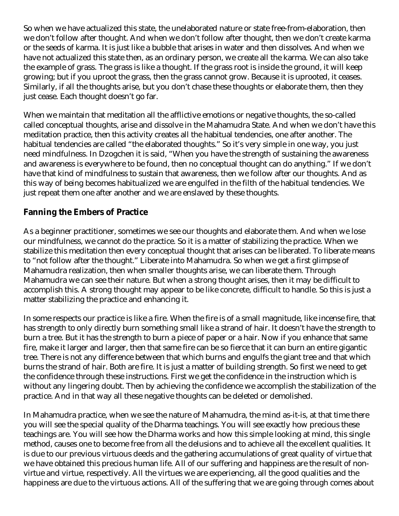So when we have actualized this state, the unelaborated nature or state free-from-elaboration, then we don't follow after thought. And when we don't follow after thought, then we don't create karma or the seeds of karma. It is just like a bubble that arises in water and then dissolves. And when we have not actualized this state then, as an ordinary person, we create all the karma. We can also take the example of grass. The grass is like a thought. If the grass root is inside the ground, it will keep growing; but if you uproot the grass, then the grass cannot grow. Because it is uprooted, it ceases. Similarly, if all the thoughts arise, but you don't chase these thoughts or elaborate them, then they just cease. Each thought doesn't go far.

When we maintain that meditation all the afflictive emotions or negative thoughts, the so-called called conceptual thoughts, arise and dissolve in the Mahamudra State. And when we don't have this meditation practice, then this activity creates all the habitual tendencies, one after another. The habitual tendencies are called "the elaborated thoughts." So it's very simple in one way, you just need mindfulness. In Dzogchen it is said, "When you have the strength of sustaining the awareness and awareness is everywhere to be found, then no conceptual thought can do anything." If we don't have that kind of mindfulness to sustain that awareness, then we follow after our thoughts. And as this way of being becomes habitualized we are engulfed in the filth of the habitual tendencies. We just repeat them one after another and we are enslaved by these thoughts.

### **Fanning the Embers of Practice**

As a beginner practitioner, sometimes we see our thoughts and elaborate them. And when we lose our mindfulness, we cannot do the practice. So it is a matter of stabilizing the practice. When we stabilize this meditation then every conceptual thought that arises can be liberated. To liberate means to "not follow after the thought." Liberate into Mahamudra. So when we get a first glimpse of Mahamudra realization, then when smaller thoughts arise, we can liberate them. Through Mahamudra we can see their nature. But when a strong thought arises, then it may be difficult to accomplish this. A strong thought may appear to be like concrete, difficult to handle. So this is just a matter stabilizing the practice and enhancing it.

In some respects our practice is like a fire. When the fire is of a small magnitude, like incense fire, that has strength to only directly burn something small like a strand of hair. It doesn't have the strength to burn a tree. But it has the strength to burn a piece of paper or a hair. Now if you enhance that same fire, make it larger and larger, then that same fire can be so fierce that it can burn an entire gigantic tree. There is not any difference between that which burns and engulfs the giant tree and that which burns the strand of hair. Both are fire. It is just a matter of building strength. So first we need to get the confidence through these instructions. First we get the confidence in the instruction which is without any lingering doubt. Then by achieving the confidence we accomplish the stabilization of the practice. And in that way all these negative thoughts can be deleted or demolished.

In Mahamudra practice, when we see the nature of Mahamudra, the mind as-it-is, at that time there you will see the special quality of the Dharma teachings. You will see exactly how precious these teachings are. You will see how the Dharma works and how this simple looking at mind, this single method, causes one to become free from all the delusions and to achieve all the excellent qualities. It is due to our previous virtuous deeds and the gathering accumulations of great quality of virtue that we have obtained this precious human life. All of our suffering and happiness are the result of nonvirtue and virtue, respectively. All the virtues we are experiencing, all the good qualities and the happiness are due to the virtuous actions. All of the suffering that we are going through comes about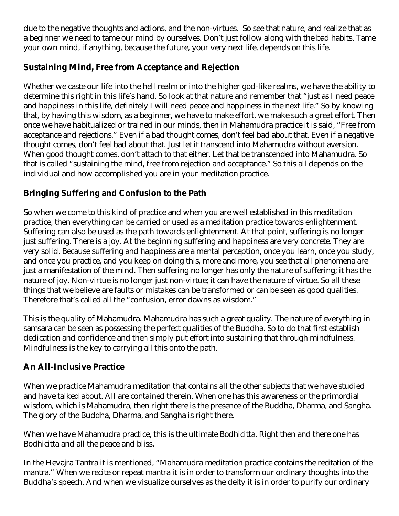due to the negative thoughts and actions, and the non-virtues. So see that nature, and realize that as a beginner we need to tame our mind by ourselves. Don't just follow along with the bad habits. Tame your own mind, if anything, because the future, your very next life, depends on this life.

### **Sustaining Mind, Free from Acceptance and Rejection**

Whether we caste our life into the hell realm or into the higher god-like realms, we have the ability to determine this right in this life's hand. So look at that nature and remember that "just as I need peace and happiness in this life, definitely I will need peace and happiness in the next life." So by knowing that, by having this wisdom, as a beginner, we have to make effort, we make such a great effort. Then once we have habitualized or trained in our minds, then in Mahamudra practice it is said, "Free from acceptance and rejections." Even if a bad thought comes, don't feel bad about that. Even if a negative thought comes, don't feel bad about that. Just let it transcend into Mahamudra without aversion. When good thought comes, don't attach to that either. Let that be transcended into Mahamudra. So that is called "sustaining the mind, free from rejection and acceptance." So this all depends on the individual and how accomplished you are in your meditation practice.

### **Bringing Suffering and Confusion to the Path**

So when we come to this kind of practice and when you are well established in this meditation practice, then everything can be carried or used as a meditation practice towards enlightenment. Suffering can also be used as the path towards enlightenment. At that point, suffering is no longer just suffering. There is a joy. At the beginning suffering and happiness are very concrete. They are very solid. Because suffering and happiness are a mental perception, once you learn, once you study, and once you practice, and you keep on doing this, more and more, you see that all phenomena are just a manifestation of the mind. Then suffering no longer has only the nature of suffering; it has the nature of joy. Non-virtue is no longer just non-virtue; it can have the nature of virtue. So all these things that we believe are faults or mistakes can be transformed or can be seen as good qualities. Therefore that's called all the "confusion, error dawns as wisdom."

This is the quality of Mahamudra. Mahamudra has such a great quality. The nature of everything in samsara can be seen as possessing the perfect qualities of the Buddha. So to do that first establish dedication and confidence and then simply put effort into sustaining that through mindfulness. Mindfulness is the key to carrying all this onto the path.

### **An All-Inclusive Practice**

When we practice Mahamudra meditation that contains all the other subjects that we have studied and have talked about. All are contained therein. When one has this awareness or the primordial wisdom, which is Mahamudra, then right there is the presence of the Buddha, Dharma, and Sangha. The glory of the Buddha, Dharma, and Sangha is right there.

When we have Mahamudra practice, this is the ultimate Bodhicitta. Right then and there one has Bodhicitta and all the peace and bliss.

In the Hevajra Tantra it is mentioned, "Mahamudra meditation practice contains the recitation of the mantra." When we recite or repeat mantra it is in order to transform our ordinary thoughts into the Buddha's speech. And when we visualize ourselves as the deity it is in order to purify our ordinary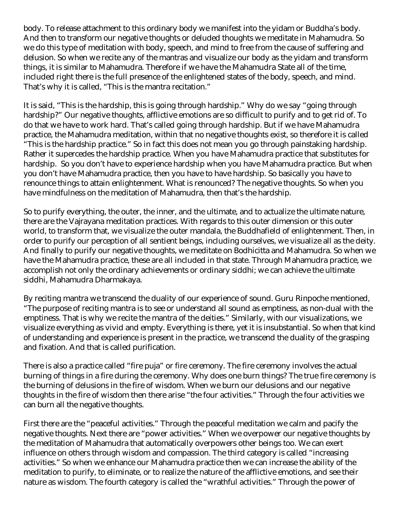body. To release attachment to this ordinary body we manifest into the yidam or Buddha's body. And then to transform our negative thoughts or deluded thoughts we meditate in Mahamudra. So we do this type of meditation with body, speech, and mind to free from the cause of suffering and delusion. So when we recite any of the mantras and visualize our body as the yidam and transform things, it is similar to Mahamudra. Therefore if we have the Mahamudra State all of the time, included right there is the full presence of the enlightened states of the body, speech, and mind. That's why it is called, "This is the mantra recitation."

It is said, "This is the hardship, this is going through hardship." Why do we say "going through hardship?" Our negative thoughts, afflictive emotions are so difficult to purify and to get rid of. To do that we have to work hard. That's called going through hardship. But if we have Mahamudra practice, the Mahamudra meditation, within that no negative thoughts exist, so therefore it is called "This is the hardship practice." So in fact this does not mean you go through painstaking hardship. Rather it supercedes the hardship practice. When you have Mahamudra practice that substitutes for hardship. So you don't have to experience hardship when you have Mahamudra practice. But when you don't have Mahamudra practice, then you have to have hardship. So basically you have to renounce things to attain enlightenment. What is renounced? The negative thoughts. So when you have mindfulness on the meditation of Mahamudra, then that's the hardship.

So to purify everything, the outer, the inner, and the ultimate, and to actualize the ultimate nature, there are the Vajrayana meditation practices. With regards to this outer dimension or this outer world, to transform that, we visualize the outer mandala, the Buddhafield of enlightenment. Then, in order to purify our perception of all sentient beings, including ourselves, we visualize all as the deity. And finally to purify our negative thoughts, we meditate on Bodhicitta and Mahamudra. So when we have the Mahamudra practice, these are all included in that state. Through Mahamudra practice, we accomplish not only the ordinary achievements or ordinary siddhi; we can achieve the ultimate siddhi, Mahamudra Dharmakaya.

By reciting mantra we transcend the duality of our experience of sound. Guru Rinpoche mentioned, "The purpose of reciting mantra is to see or understand all sound as emptiness, as non-dual with the emptiness. That is why we recite the mantra of the deities." Similarly, with our visualizations, we visualize everything as vivid and empty. Everything is there, yet it is insubstantial. So when that kind of understanding and experience is present in the practice, we transcend the duality of the grasping and fixation. And that is called purification.

There is also a practice called "fire puja" or fire ceremony. The fire ceremony involves the actual burning of things in a fire during the ceremony. Why does one burn things? The true fire ceremony is the burning of delusions in the fire of wisdom. When we burn our delusions and our negative thoughts in the fire of wisdom then there arise "the four activities." Through the four activities we can burn all the negative thoughts.

First there are the "peaceful activities." Through the peaceful meditation we calm and pacify the negative thoughts. Next there are "power activities." When we overpower our negative thoughts by the meditation of Mahamudra that automatically overpowers other beings too. We can exert influence on others through wisdom and compassion. The third category is called "increasing activities." So when we enhance our Mahamudra practice then we can increase the ability of the meditation to purify, to eliminate, or to realize the nature of the afflictive emotions, and see their nature as wisdom. The fourth category is called the "wrathful activities." Through the power of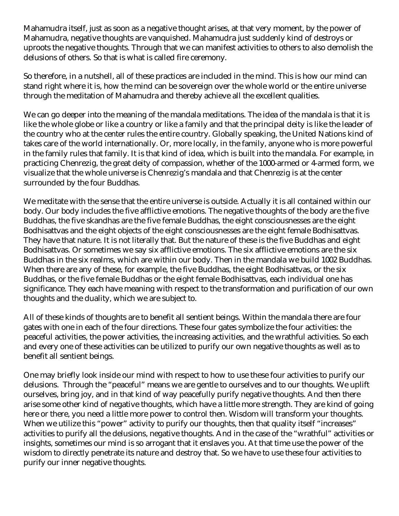Mahamudra itself, just as soon as a negative thought arises, at that very moment, by the power of Mahamudra, negative thoughts are vanquished. Mahamudra just suddenly kind of destroys or uproots the negative thoughts. Through that we can manifest activities to others to also demolish the delusions of others. So that is what is called fire ceremony.

So therefore, in a nutshell, all of these practices are included in the mind. This is how our mind can stand right where it is, how the mind can be sovereign over the whole world or the entire universe through the meditation of Mahamudra and thereby achieve all the excellent qualities.

We can go deeper into the meaning of the mandala meditations. The idea of the mandala is that it is like the whole globe or like a country or like a family and that the principal deity is like the leader of the country who at the center rules the entire country. Globally speaking, the United Nations kind of takes care of the world internationally. Or, more locally, in the family, anyone who is more powerful in the family rules that family. It is that kind of idea, which is built into the mandala. For example, in practicing Chenrezig, the great deity of compassion, whether of the 1000-armed or 4-armed form, we visualize that the whole universe is Chenrezig's mandala and that Chenrezig is at the center surrounded by the four Buddhas.

We meditate with the sense that the entire universe is outside. Actually it is all contained within our body. Our body includes the five afflictive emotions. The negative thoughts of the body are the five Buddhas, the five skandhas are the five female Buddhas, the eight consciousnesses are the eight Bodhisattvas and the eight objects of the eight consciousnesses are the eight female Bodhisattvas. They have that nature. It is not literally that. But the nature of these is the five Buddhas and eight Bodhisattvas. Or sometimes we say six afflictive emotions. The six afflictive emotions are the six Buddhas in the six realms, which are within our body. Then in the mandala we build 1002 Buddhas. When there are any of these, for example, the five Buddhas, the eight Bodhisattvas, or the six Buddhas, or the five female Buddhas or the eight female Bodhisattvas, each individual one has significance. They each have meaning with respect to the transformation and purification of our own thoughts and the duality, which we are subject to.

All of these kinds of thoughts are to benefit all sentient beings. Within the mandala there are four gates with one in each of the four directions. These four gates symbolize the four activities: the peaceful activities, the power activities, the increasing activities, and the wrathful activities. So each and every one of these activities can be utilized to purify our own negative thoughts as well as to benefit all sentient beings.

One may briefly look inside our mind with respect to how to use these four activities to purify our delusions. Through the "peaceful" means we are gentle to ourselves and to our thoughts. We uplift ourselves, bring joy, and in that kind of way peacefully purify negative thoughts. And then there arise some other kind of negative thoughts, which have a little more strength. They are kind of going here or there, you need a little more power to control then. Wisdom will transform your thoughts. When we utilize this "power" activity to purify our thoughts, then that quality itself "increases" activities to purify all the delusions, negative thoughts. And in the case of the "wrathful" activities or insights, sometimes our mind is so arrogant that it enslaves you. At that time use the power of the wisdom to directly penetrate its nature and destroy that. So we have to use these four activities to purify our inner negative thoughts.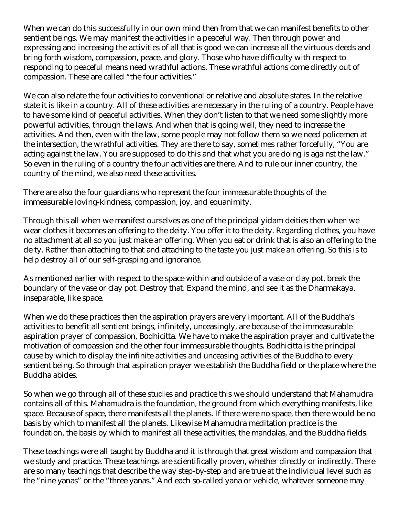When we can do this successfully in our own mind then from that we can manifest benefits to other sentient beings. We may manifest the activities in a peaceful way. Then through power and expressing and increasing the activities of all that is good we can increase all the virtuous deeds and bring forth wisdom, compassion, peace, and glory. Those who have difficulty with respect to responding to peaceful means need wrathful actions. These wrathful actions come directly out of compassion. These are called "the four activities."

We can also relate the four activities to conventional or relative and absolute states. In the relative state it is like in a country. All of these activities are necessary in the ruling of a country. People have to have some kind of peaceful activities. When they don't listen to that we need some slightly more powerful activities, through the laws. And when that is going well, they need to increase the activities. And then, even with the law, some people may not follow them so we need policemen at the intersection, the wrathful activities. They are there to say, sometimes rather forcefully, "You are acting against the law. You are supposed to do this and that what you are doing is against the law." So even in the ruling of a country the four activities are there. And to rule our inner country, the country of the mind, we also need these activities.

There are also the four guardians who represent the four immeasurable thoughts of the immeasurable loving-kindness, compassion, joy, and equanimity.

Through this all when we manifest ourselves as one of the principal yidam deities then when we wear clothes it becomes an offering to the deity. You offer it to the deity. Regarding clothes, you have no attachment at all so you just make an offering. When you eat or drink that is also an offering to the deity. Rather than attaching to that and attaching to the taste you just make an offering. So this is to help destroy all of our self-grasping and ignorance.

As mentioned earlier with respect to the space within and outside of a vase or clay pot, break the boundary of the vase or clay pot. Destroy that. Expand the mind, and see it as the Dharmakaya, inseparable, like space.

When we do these practices then the aspiration prayers are very important. All of the Buddha's activities to benefit all sentient beings, infinitely, unceasingly, are because of the immeasurable aspiration prayer of compassion, Bodhicitta. We have to make the aspiration prayer and cultivate the motivation of compassion and the other four immeasurable thoughts. Bodhicitta is the principal cause by which to display the infinite activities and unceasing activities of the Buddha to every sentient being. So through that aspiration prayer we establish the Buddha field or the place where the Buddha abides.

So when we go through all of these studies and practice this we should understand that Mahamudra contains all of this. Mahamudra is the foundation, the ground from which everything manifests, like space. Because of space, there manifests all the planets. If there were no space, then there would be no basis by which to manifest all the planets. Likewise Mahamudra meditation practice is the foundation, the basis by which to manifest all these activities, the mandalas, and the Buddha fields.

These teachings were all taught by Buddha and it is through that great wisdom and compassion that we study and practice. These teachings are scientifically proven, whether directly or indirectly. There are so many teachings that describe the way step-by-step and are true at the individual level such as the "nine yanas" or the "three yanas." And each so-called yana or vehicle, whatever someone may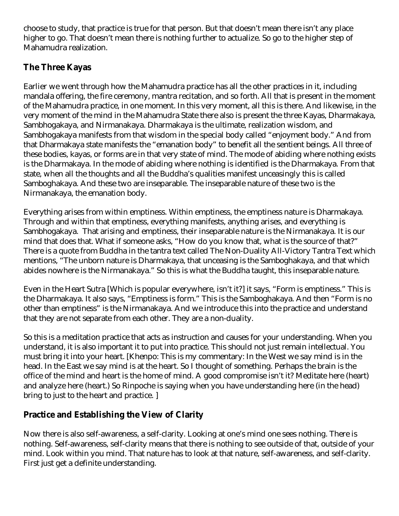choose to study, that practice is true for that person. But that doesn't mean there isn't any place higher to go. That doesn't mean there is nothing further to actualize. So go to the higher step of Mahamudra realization.

### **The Three Kayas**

Earlier we went through how the Mahamudra practice has all the other practices in it, including mandala offering, the fire ceremony, mantra recitation, and so forth. All that is present in the moment of the Mahamudra practice, in one moment. In this very moment, all this is there. And likewise, in the very moment of the mind in the Mahamudra State there also is present the three Kayas, Dharmakaya, Sambhogakaya, and Nirmanakaya. Dharmakaya is the ultimate, realization wisdom, and Sambhogakaya manifests from that wisdom in the special body called "enjoyment body." And from that Dharmakaya state manifests the "emanation body" to benefit all the sentient beings. All three of these bodies, kayas, or forms are in that very state of mind. The mode of abiding where nothing exists is the Dharmakaya. In the mode of abiding where nothing is identified is the Dharmakaya. From that state, when all the thoughts and all the Buddha's qualities manifest unceasingly this is called Samboghakaya. And these two are inseparable. The inseparable nature of these two is the Nirmanakaya, the emanation body.

Everything arises from within emptiness. Within emptiness, the emptiness nature is Dharmakaya. Through and within that emptiness, everything manifests, anything arises, and everything is Sambhogakaya. That arising and emptiness, their inseparable nature is the Nirmanakaya. It is our mind that does that. What if someone asks, "How do you know that, what is the source of that?" There is a quote from Buddha in the tantra text called The Non-Duality All-Victory Tantra Text which mentions, "The unborn nature is Dharmakaya, that unceasing is the Samboghakaya, and that which abides nowhere is the Nirmanakaya." So this is what the Buddha taught, this inseparable nature.

Even in the Heart Sutra [Which is popular everywhere, isn't it?] it says, "Form is emptiness." This is the Dharmakaya. It also says, "Emptiness is form." This is the Samboghakaya. And then "Form is no other than emptiness" is the Nirmanakaya. And we introduce this into the practice and understand that they are not separate from each other. They are a non-duality.

So this is a meditation practice that acts as instruction and causes for your understanding. When you understand, it is also important it to put into practice. This should not just remain intellectual. You must bring it into your heart. [Khenpo: This is my commentary: In the West we say mind is in the head. In the East we say mind is at the heart. So I thought of something. Perhaps the brain is the office of the mind and heart is the home of mind. A good compromise isn't it? Meditate here (heart) and analyze here (heart.) So Rinpoche is saying when you have understanding here (in the head) bring to just to the heart and practice. ]

### **Practice and Establishing the View of Clarity**

Now there is also self-awareness, a self-clarity. Looking at one's mind one sees nothing. There is nothing. Self-awareness, self-clarity means that there is nothing to see outside of that, outside of your mind. Look within you mind. That nature has to look at that nature, self-awareness, and self-clarity. First just get a definite understanding.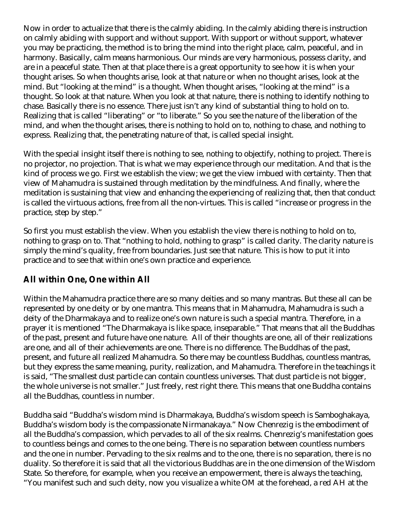Now in order to actualize that there is the calmly abiding. In the calmly abiding there is instruction on calmly abiding with support and without support. With support or without support, whatever you may be practicing, the method is to bring the mind into the right place, calm, peaceful, and in harmony. Basically, calm means harmonious. Our minds are very harmonious, possess clarity, and are in a peaceful state. Then at that place there is a great opportunity to see how it is when your thought arises. So when thoughts arise, look at that nature or when no thought arises, look at the mind. But "looking at the mind" is a thought. When thought arises, "looking at the mind" is a thought. So look at that nature. When you look at that nature, there is nothing to identify nothing to chase. Basically there is no essence. There just isn't any kind of substantial thing to hold on to. Realizing that is called "liberating" or "to liberate." So you see the nature of the liberation of the mind, and when the thought arises, there is nothing to hold on to, nothing to chase, and nothing to express. Realizing that, the penetrating nature of that, is called special insight.

With the special insight itself there is nothing to see, nothing to objectify, nothing to project. There is no projector, no projection. That is what we may experience through our meditation. And that is the kind of process we go. First we establish the view; we get the view imbued with certainty. Then that view of Mahamudra is sustained through meditation by the mindfulness. And finally, where the meditation is sustaining that view and enhancing the experiencing of realizing that, then that conduct is called the virtuous actions, free from all the non-virtues. This is called "increase or progress in the practice, step by step."

So first you must establish the view. When you establish the view there is nothing to hold on to, nothing to grasp on to. That "nothing to hold, nothing to grasp" is called clarity. The clarity nature is simply the mind's quality, free from boundaries. Just see that nature. This is how to put it into practice and to see that within one's own practice and experience.

### **All within One, One within All**

Within the Mahamudra practice there are so many deities and so many mantras. But these all can be represented by one deity or by one mantra. This means that in Mahamudra, Mahamudra is such a deity of the Dharmakaya and to realize one's own nature is such a special mantra. Therefore, in a prayer it is mentioned "The Dharmakaya is like space, inseparable." That means that all the Buddhas of the past, present and future have one nature. All of their thoughts are one, all of their realizations are one, and all of their achievements are one. There is no difference. The Buddhas of the past, present, and future all realized Mahamudra. So there may be countless Buddhas, countless mantras, but they express the same meaning, purity, realization, and Mahamudra. Therefore in the teachings it is said, "The smallest dust particle can contain countless universes. That dust particle is not bigger, the whole universe is not smaller." Just freely, rest right there. This means that one Buddha contains all the Buddhas, countless in number.

Buddha said "Buddha's wisdom mind is Dharmakaya, Buddha's wisdom speech is Samboghakaya, Buddha's wisdom body is the compassionate Nirmanakaya." Now Chenrezig is the embodiment of all the Buddha's compassion, which pervades to all of the six realms. Chenrezig's manifestation goes to countless beings and comes to the one being. There is no separation between countless numbers and the one in number. Pervading to the six realms and to the one, there is no separation, there is no duality. So therefore it is said that all the victorious Buddhas are in the one dimension of the Wisdom State. So therefore, for example, when you receive an empowerment, there is always the teaching, "You manifest such and such deity, now you visualize a white OM at the forehead, a red AH at the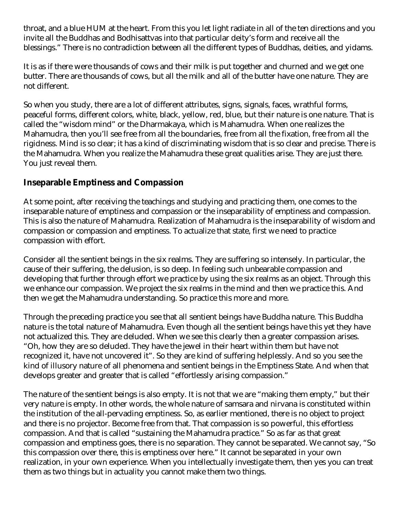throat, and a blue HUM at the heart. From this you let light radiate in all of the ten directions and you invite all the Buddhas and Bodhisattvas into that particular deity's form and receive all the blessings." There is no contradiction between all the different types of Buddhas, deities, and yidams.

It is as if there were thousands of cows and their milk is put together and churned and we get one butter. There are thousands of cows, but all the milk and all of the butter have one nature. They are not different.

So when you study, there are a lot of different attributes, signs, signals, faces, wrathful forms, peaceful forms, different colors, white, black, yellow, red, blue, but their nature is one nature. That is called the "wisdom mind" or the Dharmakaya, which is Mahamudra. When one realizes the Mahamudra, then you'll see free from all the boundaries, free from all the fixation, free from all the rigidness. Mind is so clear; it has a kind of discriminating wisdom that is so clear and precise. There is the Mahamudra. When you realize the Mahamudra these great qualities arise. They are just there. You just reveal them.

#### **Inseparable Emptiness and Compassion**

At some point, after receiving the teachings and studying and practicing them, one comes to the inseparable nature of emptiness and compassion or the inseparability of emptiness and compassion. This is also the nature of Mahamudra. Realization of Mahamudra is the inseparability of wisdom and compassion or compassion and emptiness. To actualize that state, first we need to practice compassion with effort.

Consider all the sentient beings in the six realms. They are suffering so intensely. In particular, the cause of their suffering, the delusion, is so deep. In feeling such unbearable compassion and developing that further through effort we practice by using the six realms as an object. Through this we enhance our compassion. We project the six realms in the mind and then we practice this. And then we get the Mahamudra understanding. So practice this more and more.

Through the preceding practice you see that all sentient beings have Buddha nature. This Buddha nature is the total nature of Mahamudra. Even though all the sentient beings have this yet they have not actualized this. They are deluded. When we see this clearly then a greater compassion arises. "Oh, how they are so deluded. They have the jewel in their heart within them but have not recognized it, have not uncovered it". So they are kind of suffering helplessly. And so you see the kind of illusory nature of all phenomena and sentient beings in the Emptiness State. And when that develops greater and greater that is called "effortlessly arising compassion."

The nature of the sentient beings is also empty. It is not that we are "making them empty," but their very nature is empty. In other words, the whole nature of samsara and nirvana is constituted within the institution of the all-pervading emptiness. So, as earlier mentioned, there is no object to project and there is no projector. Become free from that. That compassion is so powerful, this effortless compassion. And that is called "sustaining the Mahamudra practice." So as far as that great compassion and emptiness goes, there is no separation. They cannot be separated. We cannot say, "So this compassion over there, this is emptiness over here." It cannot be separated in your own realization, in your own experience. When you intellectually investigate them, then yes you can treat them as two things but in actuality you cannot make them two things.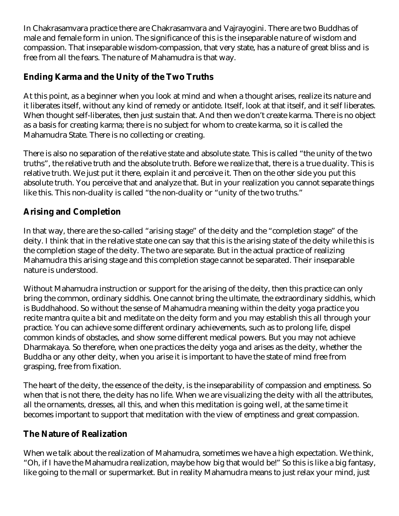In Chakrasamvara practice there are Chakrasamvara and Vajrayogini. There are two Buddhas of male and female form in union. The significance of this is the inseparable nature of wisdom and compassion. That inseparable wisdom-compassion, that very state, has a nature of great bliss and is free from all the fears. The nature of Mahamudra is that way.

### **Ending Karma and the Unity of the Two Truths**

At this point, as a beginner when you look at mind and when a thought arises, realize its nature and it liberates itself, without any kind of remedy or antidote. Itself, look at that itself, and it self liberates. When thought self-liberates, then just sustain that. And then we don't create karma. There is no object as a basis for creating karma; there is no subject for whom to create karma, so it is called the Mahamudra State. There is no collecting or creating.

There is also no separation of the relative state and absolute state. This is called "the unity of the two truths", the relative truth and the absolute truth. Before we realize that, there is a true duality. This is relative truth. We just put it there, explain it and perceive it. Then on the other side you put this absolute truth. You perceive that and analyze that. But in your realization you cannot separate things like this. This non-duality is called "the non-duality or "unity of the two truths."

## **Arising and Completion**

In that way, there are the so-called "arising stage" of the deity and the "completion stage" of the deity. I think that in the relative state one can say that this is the arising state of the deity while this is the completion stage of the deity. The two are separate. But in the actual practice of realizing Mahamudra this arising stage and this completion stage cannot be separated. Their inseparable nature is understood.

Without Mahamudra instruction or support for the arising of the deity, then this practice can only bring the common, ordinary siddhis. One cannot bring the ultimate, the extraordinary siddhis, which is Buddhahood. So without the sense of Mahamudra meaning within the deity yoga practice you recite mantra quite a bit and meditate on the deity form and you may establish this all through your practice. You can achieve some different ordinary achievements, such as to prolong life, dispel common kinds of obstacles, and show some different medical powers. But you may not achieve Dharmakaya. So therefore, when one practices the deity yoga and arises as the deity, whether the Buddha or any other deity, when you arise it is important to have the state of mind free from grasping, free from fixation.

The heart of the deity, the essence of the deity, is the inseparability of compassion and emptiness. So when that is not there, the deity has no life. When we are visualizing the deity with all the attributes, all the ornaments, dresses, all this, and when this meditation is going well, at the same time it becomes important to support that meditation with the view of emptiness and great compassion.

#### **The Nature of Realization**

When we talk about the realization of Mahamudra, sometimes we have a high expectation. We think, "Oh, if I have the Mahamudra realization, maybe how big that would be!" So this is like a big fantasy, like going to the mall or supermarket. But in reality Mahamudra means to just relax your mind, just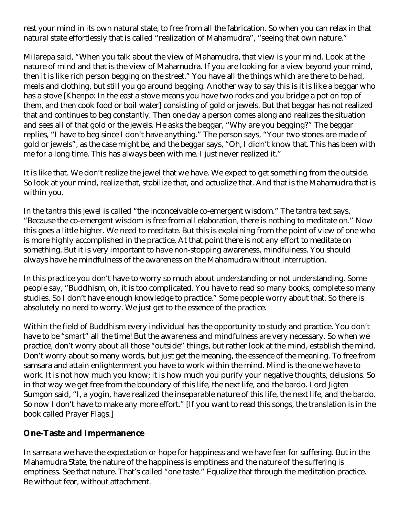rest your mind in its own natural state, to free from all the fabrication. So when you can relax in that natural state effortlessly that is called "realization of Mahamudra", "seeing that own nature."

Milarepa said, "When you talk about the view of Mahamudra, that view is your mind. Look at the nature of mind and that is the view of Mahamudra. If you are looking for a view beyond your mind, then it is like rich person begging on the street." You have all the things which are there to be had, meals and clothing, but still you go around begging. Another way to say this is it is like a beggar who has a stove [Khenpo: In the east a stove means you have two rocks and you bridge a pot on top of them, and then cook food or boil water] consisting of gold or jewels. But that beggar has not realized that and continues to beg constantly. Then one day a person comes along and realizes the situation and sees all of that gold or the jewels. He asks the beggar, "Why are you begging?" The beggar replies, "I have to beg since I don't have anything." The person says, "Your two stones are made of gold or jewels", as the case might be, and the beggar says, "Oh, I didn't know that. This has been with me for a long time. This has always been with me. I just never realized it."

It is like that. We don't realize the jewel that we have. We expect to get something from the outside. So look at your mind, realize that, stabilize that, and actualize that. And that is the Mahamudra that is within you.

In the tantra this jewel is called "the inconceivable co-emergent wisdom." The tantra text says, "Because the co-emergent wisdom is free from all elaboration, there is nothing to meditate on." Now this goes a little higher. We need to meditate. But this is explaining from the point of view of one who is more highly accomplished in the practice. At that point there is not any effort to meditate on something. But it is very important to have non-stopping awareness, mindfulness. You should always have he mindfulness of the awareness on the Mahamudra without interruption.

In this practice you don't have to worry so much about understanding or not understanding. Some people say, "Buddhism, oh, it is too complicated. You have to read so many books, complete so many studies. So I don't have enough knowledge to practice." Some people worry about that. So there is absolutely no need to worry. We just get to the essence of the practice.

Within the field of Buddhism every individual has the opportunity to study and practice. You don't have to be "smart" all the time! But the awareness and mindfulness are very necessary. So when we practice, don't worry about all those "outside" things, but rather look at the mind, establish the mind. Don't worry about so many words, but just get the meaning, the essence of the meaning. To free from samsara and attain enlightenment you have to work within the mind. Mind is the one we have to work. It is not how much you know; it is how much you purify your negative thoughts, delusions. So in that way we get free from the boundary of this life, the next life, and the bardo. Lord Jigten Sumgon said, "I, a yogin, have realized the inseparable nature of this life, the next life, and the bardo. So now I don't have to make any more effort." [If you want to read this songs, the translation is in the book called Prayer Flags.]

#### **One-Taste and Impermanence**

In samsara we have the expectation or hope for happiness and we have fear for suffering. But in the Mahamudra State, the nature of the happiness is emptiness and the nature of the suffering is emptiness. See that nature. That's called "one taste." Equalize that through the meditation practice. Be without fear, without attachment.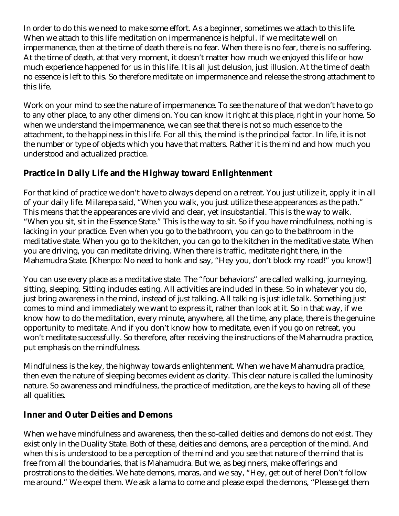In order to do this we need to make some effort. As a beginner, sometimes we attach to this life. When we attach to this life meditation on impermanence is helpful. If we meditate well on impermanence, then at the time of death there is no fear. When there is no fear, there is no suffering. At the time of death, at that very moment, it doesn't matter how much we enjoyed this life or how much experience happened for us in this life. It is all just delusion, just illusion. At the time of death no essence is left to this. So therefore meditate on impermanence and release the strong attachment to this life.

Work on your mind to see the nature of impermanence. To see the nature of that we don't have to go to any other place, to any other dimension. You can know it right at this place, right in your home. So when we understand the impermanence, we can see that there is not so much essence to the attachment, to the happiness in this life. For all this, the mind is the principal factor. In life, it is not the number or type of objects which you have that matters. Rather it is the mind and how much you understood and actualized practice.

### **Practice in Daily Life and the Highway toward Enlightenment**

For that kind of practice we don't have to always depend on a retreat. You just utilize it, apply it in all of your daily life. Milarepa said, "When you walk, you just utilize these appearances as the path." This means that the appearances are vivid and clear, yet insubstantial. This is the way to walk. "When you sit, sit in the Essence State." This is the way to sit. So if you have mindfulness, nothing is lacking in your practice. Even when you go to the bathroom, you can go to the bathroom in the meditative state. When you go to the kitchen, you can go to the kitchen in the meditative state. When you are driving, you can meditate driving. When there is traffic, meditate right there, in the Mahamudra State. [Khenpo: No need to honk and say, "Hey you, don't block my road!" you know!]

You can use every place as a meditative state. The "four behaviors" are called walking, journeying, sitting, sleeping. Sitting includes eating. All activities are included in these. So in whatever you do, just bring awareness in the mind, instead of just talking. All talking is just idle talk. Something just comes to mind and immediately we want to express it, rather than look at it. So in that way, if we know how to do the meditation, every minute, anywhere, all the time, any place, there is the genuine opportunity to meditate. And if you don't know how to meditate, even if you go on retreat, you won't meditate successfully. So therefore, after receiving the instructions of the Mahamudra practice, put emphasis on the mindfulness.

Mindfulness is the key, the highway towards enlightenment. When we have Mahamudra practice, then even the nature of sleeping becomes evident as clarity. This clear nature is called the luminosity nature. So awareness and mindfulness, the practice of meditation, are the keys to having all of these all qualities.

#### **Inner and Outer Deities and Demons**

When we have mindfulness and awareness, then the so-called deities and demons do not exist. They exist only in the Duality State. Both of these, deities and demons, are a perception of the mind. And when this is understood to be a perception of the mind and you see that nature of the mind that is free from all the boundaries, that is Mahamudra. But we, as beginners, make offerings and prostrations to the deities. We hate demons, maras, and we say, "Hey, get out of here! Don't follow me around." We expel them. We ask a lama to come and please expel the demons, "Please get them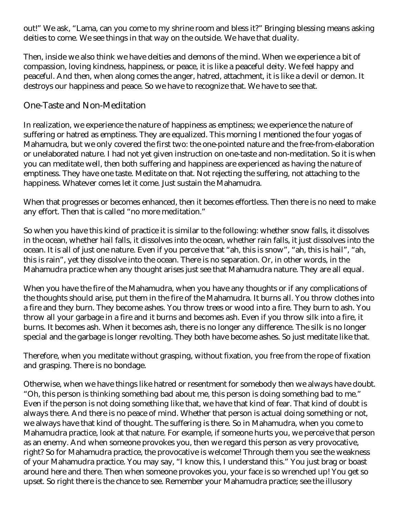out!" We ask, "Lama, can you come to my shrine room and bless it?" Bringing blessing means asking deities to come. We see things in that way on the outside. We have that duality.

Then, inside we also think we have deities and demons of the mind. When we experience a bit of compassion, loving kindness, happiness, or peace, it is like a peaceful deity. We feel happy and peaceful. And then, when along comes the anger, hatred, attachment, it is like a devil or demon. It destroys our happiness and peace. So we have to recognize that. We have to see that.

#### One-Taste and Non-Meditation

In realization, we experience the nature of happiness as emptiness; we experience the nature of suffering or hatred as emptiness. They are equalized. This morning I mentioned the four yogas of Mahamudra, but we only covered the first two: the one-pointed nature and the free-from-elaboration or unelaborated nature. I had not yet given instruction on one-taste and non-meditation. So it is when you can meditate well, then both suffering and happiness are experienced as having the nature of emptiness. They have one taste. Meditate on that. Not rejecting the suffering, not attaching to the happiness. Whatever comes let it come. Just sustain the Mahamudra.

When that progresses or becomes enhanced, then it becomes effortless. Then there is no need to make any effort. Then that is called "no more meditation."

So when you have this kind of practice it is similar to the following: whether snow falls, it dissolves in the ocean, whether hail falls, it dissolves into the ocean, whether rain falls, it just dissolves into the ocean. It is all of just one nature. Even if you perceive that "ah, this is snow", "ah, this is hail", "ah, this is rain", yet they dissolve into the ocean. There is no separation. Or, in other words, in the Mahamudra practice when any thought arises just see that Mahamudra nature. They are all equal.

When you have the fire of the Mahamudra, when you have any thoughts or if any complications of the thoughts should arise, put them in the fire of the Mahamudra. It burns all. You throw clothes into a fire and they burn. They become ashes. You throw trees or wood into a fire. They burn to ash. You throw all your garbage in a fire and it burns and becomes ash. Even if you throw silk into a fire, it burns. It becomes ash. When it becomes ash, there is no longer any difference. The silk is no longer special and the garbage is longer revolting. They both have become ashes. So just meditate like that.

Therefore, when you meditate without grasping, without fixation, you free from the rope of fixation and grasping. There is no bondage.

Otherwise, when we have things like hatred or resentment for somebody then we always have doubt. "Oh, this person is thinking something bad about me, this person is doing something bad to me." Even if the person is not doing something like that, we have that kind of fear. That kind of doubt is always there. And there is no peace of mind. Whether that person is actual doing something or not, we always have that kind of thought. The suffering is there. So in Mahamudra, when you come to Mahamudra practice, look at that nature. For example, if someone hurts you, we perceive that person as an enemy. And when someone provokes you, then we regard this person as very provocative, right? So for Mahamudra practice, the provocative is welcome! Through them you see the weakness of your Mahamudra practice. You may say, "I know this, I understand this." You just brag or boast around here and there. Then when someone provokes you, your face is so wrenched up! You get so upset. So right there is the chance to see. Remember your Mahamudra practice; see the illusory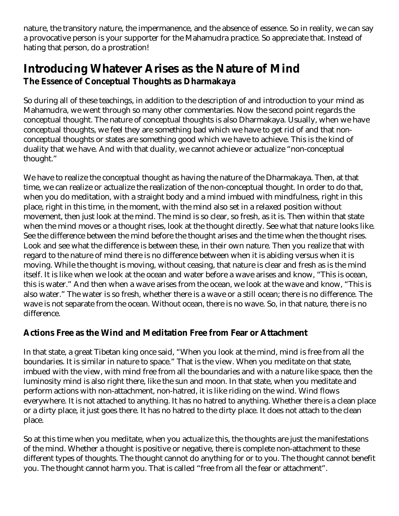nature, the transitory nature, the impermanence, and the absence of essence. So in reality, we can say a provocative person is your supporter for the Mahamudra practice. So appreciate that. Instead of hating that person, do a prostration!

# **Introducing Whatever Arises as the Nature of Mind The Essence of Conceptual Thoughts as Dharmakaya**

So during all of these teachings, in addition to the description of and introduction to your mind as Mahamudra, we went through so many other commentaries. Now the second point regards the conceptual thought. The nature of conceptual thoughts is also Dharmakaya. Usually, when we have conceptual thoughts, we feel they are something bad which we have to get rid of and that nonconceptual thoughts or states are something good which we have to achieve. This is the kind of duality that we have. And with that duality, we cannot achieve or actualize "non-conceptual thought."

We have to realize the conceptual thought as having the nature of the Dharmakaya. Then, at that time, we can realize or actualize the realization of the non-conceptual thought. In order to do that, when you do meditation, with a straight body and a mind imbued with mindfulness, right in this place, right in this time, in the moment, with the mind also set in a relaxed position without movement, then just look at the mind. The mind is so clear, so fresh, as it is. Then within that state when the mind moves or a thought rises, look at the thought directly. See what that nature looks like. See the difference between the mind before the thought arises and the time when the thought rises. Look and see what the difference is between these, in their own nature. Then you realize that with regard to the nature of mind there is no difference between when it is abiding versus when it is moving. While the thought is moving, without ceasing, that nature is clear and fresh as is the mind itself. It is like when we look at the ocean and water before a wave arises and know, "This is ocean, this is water." And then when a wave arises from the ocean, we look at the wave and know, "This is also water." The water is so fresh, whether there is a wave or a still ocean; there is no difference. The wave is not separate from the ocean. Without ocean, there is no wave. So, in that nature, there is no difference.

### **Actions Free as the Wind and Meditation Free from Fear or Attachment**

In that state, a great Tibetan king once said, "When you look at the mind, mind is free from all the boundaries. It is similar in nature to space." That is the view. When you meditate on that state, imbued with the view, with mind free from all the boundaries and with a nature like space, then the luminosity mind is also right there, like the sun and moon. In that state, when you meditate and perform actions with non-attachment, non-hatred, it is like riding on the wind. Wind flows everywhere. It is not attached to anything. It has no hatred to anything. Whether there is a clean place or a dirty place, it just goes there. It has no hatred to the dirty place. It does not attach to the clean place.

So at this time when you meditate, when you actualize this, the thoughts are just the manifestations of the mind. Whether a thought is positive or negative, there is complete non-attachment to these different types of thoughts. The thought cannot do anything for or to you. The thought cannot benefit you. The thought cannot harm you. That is called "free from all the fear or attachment".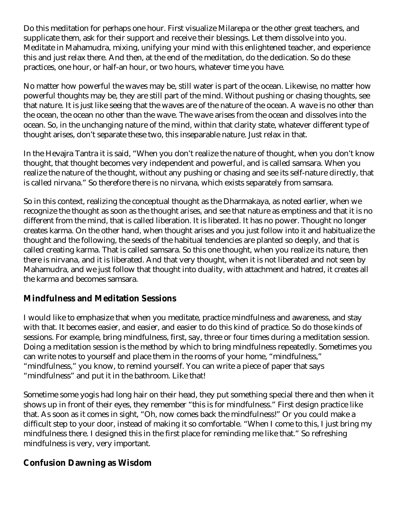Do this meditation for perhaps one hour. First visualize Milarepa or the other great teachers, and supplicate them, ask for their support and receive their blessings. Let them dissolve into you. Meditate in Mahamudra, mixing, unifying your mind with this enlightened teacher, and experience this and just relax there. And then, at the end of the meditation, do the dedication. So do these practices, one hour, or half-an hour, or two hours, whatever time you have.

No matter how powerful the waves may be, still water is part of the ocean. Likewise, no matter how powerful thoughts may be, they are still part of the mind. Without pushing or chasing thoughts, see that nature. It is just like seeing that the waves are of the nature of the ocean. A wave is no other than the ocean, the ocean no other than the wave. The wave arises from the ocean and dissolves into the ocean. So, in the unchanging nature of the mind, within that clarity state, whatever different type of thought arises, don't separate these two, this inseparable nature. Just relax in that.

In the Hevajra Tantra it is said, "When you don't realize the nature of thought, when you don't know thought, that thought becomes very independent and powerful, and is called samsara. When you realize the nature of the thought, without any pushing or chasing and see its self-nature directly, that is called nirvana." So therefore there is no nirvana, which exists separately from samsara.

So in this context, realizing the conceptual thought as the Dharmakaya, as noted earlier, when we recognize the thought as soon as the thought arises, and see that nature as emptiness and that it is no different from the mind, that is called liberation. It is liberated. It has no power. Thought no longer creates karma. On the other hand, when thought arises and you just follow into it and habitualize the thought and the following, the seeds of the habitual tendencies are planted so deeply, and that is called creating karma. That is called samsara. So this one thought, when you realize its nature, then there is nirvana, and it is liberated. And that very thought, when it is not liberated and not seen by Mahamudra, and we just follow that thought into duality, with attachment and hatred, it creates all the karma and becomes samsara.

### **Mindfulness and Meditation Sessions**

I would like to emphasize that when you meditate, practice mindfulness and awareness, and stay with that. It becomes easier, and easier, and easier to do this kind of practice. So do those kinds of sessions. For example, bring mindfulness, first, say, three or four times during a meditation session. Doing a meditation session is the method by which to bring mindfulness repeatedly. Sometimes you can write notes to yourself and place them in the rooms of your home, "mindfulness," "mindfulness," you know, to remind yourself. You can write a piece of paper that says "mindfulness" and put it in the bathroom. Like that!

Sometime some yogis had long hair on their head, they put something special there and then when it shows up in front of their eyes, they remember "this is for mindfulness." First design practice like that. As soon as it comes in sight, "Oh, now comes back the mindfulness!" Or you could make a difficult step to your door, instead of making it so comfortable. "When I come to this, I just bring my mindfulness there. I designed this in the first place for reminding me like that." So refreshing mindfulness is very, very important.

#### **Confusion Dawning as Wisdom**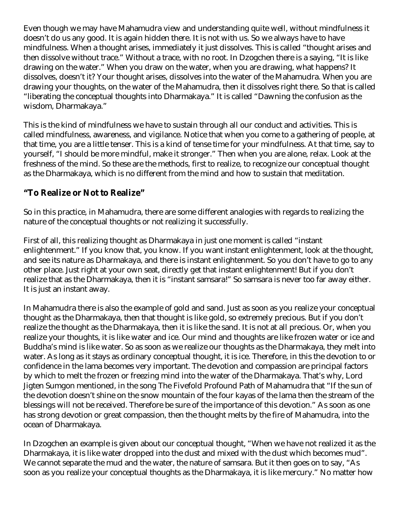Even though we may have Mahamudra view and understanding quite well, without mindfulness it doesn't do us any good. It is again hidden there. It is not with us. So we always have to have mindfulness. When a thought arises, immediately it just dissolves. This is called "thought arises and then dissolve without trace." Without a trace, with no root. In Dzogchen there is a saying, "It is like drawing on the water." When you draw on the water, when you are drawing, what happens? It dissolves, doesn't it? Your thought arises, dissolves into the water of the Mahamudra. When you are drawing your thoughts, on the water of the Mahamudra, then it dissolves right there. So that is called "liberating the conceptual thoughts into Dharmakaya." It is called "Dawning the confusion as the wisdom, Dharmakaya."

This is the kind of mindfulness we have to sustain through all our conduct and activities. This is called mindfulness, awareness, and vigilance. Notice that when you come to a gathering of people, at that time, you are a little tenser. This is a kind of tense time for your mindfulness. At that time, say to yourself, "I should be more mindful, make it stronger." Then when you are alone, relax. Look at the freshness of the mind. So these are the methods, first to realize, to recognize our conceptual thought as the Dharmakaya, which is no different from the mind and how to sustain that meditation.

### **"To Realize or Not to Realize"**

So in this practice, in Mahamudra, there are some different analogies with regards to realizing the nature of the conceptual thoughts or not realizing it successfully.

First of all, this realizing thought as Dharmakaya in just one moment is called "instant enlightenment." If you know that, you know. If you want instant enlightenment, look at the thought, and see its nature as Dharmakaya, and there is instant enlightenment. So you don't have to go to any other place. Just right at your own seat, directly get that instant enlightenment! But if you don't realize that as the Dharmakaya, then it is "instant samsara!" So samsara is never too far away either. It is just an instant away.

In Mahamudra there is also the example of gold and sand. Just as soon as you realize your conceptual thought as the Dharmakaya, then that thought is like gold, so extremely precious. But if you don't realize the thought as the Dharmakaya, then it is like the sand. It is not at all precious. Or, when you realize your thoughts, it is like water and ice. Our mind and thoughts are like frozen water or ice and Buddha's mind is like water. So as soon as we realize our thoughts as the Dharmakaya, they melt into water. As long as it stays as ordinary conceptual thought, it is ice. Therefore, in this the devotion to or confidence in the lama becomes very important. The devotion and compassion are principal factors by which to melt the frozen or freezing mind into the water of the Dharmakaya. That's why, Lord Jigten Sumgon mentioned, in the song The Fivefold Profound Path of Mahamudra that "If the sun of the devotion doesn't shine on the snow mountain of the four kayas of the lama then the stream of the blessings will not be received. Therefore be sure of the importance of this devotion." As soon as one has strong devotion or great compassion, then the thought melts by the fire of Mahamudra, into the ocean of Dharmakaya.

In Dzogchen an example is given about our conceptual thought, "When we have not realized it as the Dharmakaya, it is like water dropped into the dust and mixed with the dust which becomes mud". We cannot separate the mud and the water, the nature of samsara. But it then goes on to say, "As soon as you realize your conceptual thoughts as the Dharmakaya, it is like mercury." No matter how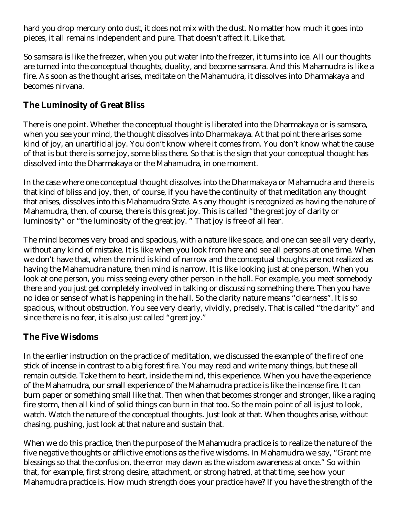hard you drop mercury onto dust, it does not mix with the dust. No matter how much it goes into pieces, it all remains independent and pure. That doesn't affect it. Like that.

So samsara is like the freezer, when you put water into the freezer, it turns into ice. All our thoughts are turned into the conceptual thoughts, duality, and become samsara. And this Mahamudra is like a fire. As soon as the thought arises, meditate on the Mahamudra, it dissolves into Dharmakaya and becomes nirvana.

#### **The Luminosity of Great Bliss**

There is one point. Whether the conceptual thought is liberated into the Dharmakaya or is samsara, when you see your mind, the thought dissolves into Dharmakaya. At that point there arises some kind of joy, an unartificial joy. You don't know where it comes from. You don't know what the cause of that is but there is some joy, some bliss there. So that is the sign that your conceptual thought has dissolved into the Dharmakaya or the Mahamudra, in one moment.

In the case where one conceptual thought dissolves into the Dharmakaya or Mahamudra and there is that kind of bliss and joy, then, of course, if you have the continuity of that meditation any thought that arises, dissolves into this Mahamudra State. As any thought is recognized as having the nature of Mahamudra, then, of course, there is this great joy. This is called "the great joy of clarity or luminosity" or "the luminosity of the great joy. " That joy is free of all fear.

The mind becomes very broad and spacious, with a nature like space, and one can see all very clearly, without any kind of mistake. It is like when you look from here and see all persons at one time. When we don't have that, when the mind is kind of narrow and the conceptual thoughts are not realized as having the Mahamudra nature, then mind is narrow. It is like looking just at one person. When you look at one person, you miss seeing every other person in the hall. For example, you meet somebody there and you just get completely involved in talking or discussing something there. Then you have no idea or sense of what is happening in the hall. So the clarity nature means "clearness". It is so spacious, without obstruction. You see very clearly, vividly, precisely. That is called "the clarity" and since there is no fear, it is also just called "great joy."

#### **The Five Wisdoms**

In the earlier instruction on the practice of meditation, we discussed the example of the fire of one stick of incense in contrast to a big forest fire. You may read and write many things, but these all remain outside. Take them to heart, inside the mind, this experience. When you have the experience of the Mahamudra, our small experience of the Mahamudra practice is like the incense fire. It can burn paper or something small like that. Then when that becomes stronger and stronger, like a raging fire storm, then all kind of solid things can burn in that too. So the main point of all is just to look, watch. Watch the nature of the conceptual thoughts. Just look at that. When thoughts arise, without chasing, pushing, just look at that nature and sustain that.

When we do this practice, then the purpose of the Mahamudra practice is to realize the nature of the five negative thoughts or afflictive emotions as the five wisdoms. In Mahamudra we say, "Grant me blessings so that the confusion, the error may dawn as the wisdom awareness at once." So within that, for example, first strong desire, attachment, or strong hatred, at that time, see how your Mahamudra practice is. How much strength does your practice have? If you have the strength of the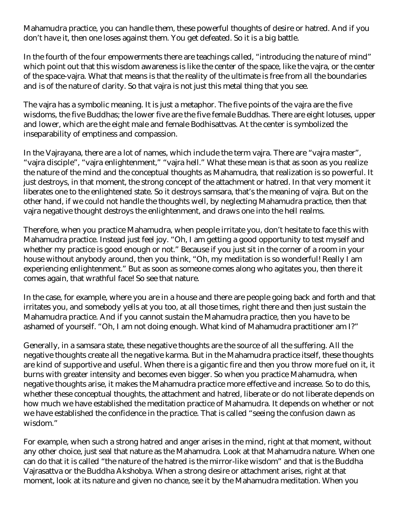Mahamudra practice, you can handle them, these powerful thoughts of desire or hatred. And if you don't have it, then one loses against them. You get defeated. So it is a big battle.

In the fourth of the four empowerments there are teachings called, "introducing the nature of mind" which point out that this wisdom awareness is like the center of the space, like the vajra, or the center of the space-vajra. What that means is that the reality of the ultimate is free from all the boundaries and is of the nature of clarity. So that vajra is not just this metal thing that you see.

The vajra has a symbolic meaning. It is just a metaphor. The five points of the vajra are the five wisdoms, the five Buddhas; the lower five are the five female Buddhas. There are eight lotuses, upper and lower, which are the eight male and female Bodhisattvas. At the center is symbolized the inseparability of emptiness and compassion.

In the Vajrayana, there are a lot of names, which include the term vajra. There are "vajra master", "vajra disciple", "vajra enlightenment," "vajra hell." What these mean is that as soon as you realize the nature of the mind and the conceptual thoughts as Mahamudra, that realization is so powerful. It just destroys, in that moment, the strong concept of the attachment or hatred. In that very moment it liberates one to the enlightened state. So it destroys samsara, that's the meaning of vajra. But on the other hand, if we could not handle the thoughts well, by neglecting Mahamudra practice, then that vajra negative thought destroys the enlightenment, and draws one into the hell realms.

Therefore, when you practice Mahamudra, when people irritate you, don't hesitate to face this with Mahamudra practice. Instead just feel joy. "Oh, I am getting a good opportunity to test myself and whether my practice is good enough or not." Because if you just sit in the corner of a room in your house without anybody around, then you think, "Oh, my meditation is so wonderful! Really I am experiencing enlightenment." But as soon as someone comes along who agitates you, then there it comes again, that wrathful face! So see that nature.

In the case, for example, where you are in a house and there are people going back and forth and that irritates you, and somebody yells at you too, at all those times, right there and then just sustain the Mahamudra practice. And if you cannot sustain the Mahamudra practice, then you have to be ashamed of yourself. "Oh, I am not doing enough. What kind of Mahamudra practitioner am I?"

Generally, in a samsara state, these negative thoughts are the source of all the suffering. All the negative thoughts create all the negative karma. But in the Mahamudra practice itself, these thoughts are kind of supportive and useful. When there is a gigantic fire and then you throw more fuel on it, it burns with greater intensity and becomes even bigger. So when you practice Mahamudra, when negative thoughts arise, it makes the Mahamudra practice more effective and increase. So to do this, whether these conceptual thoughts, the attachment and hatred, liberate or do not liberate depends on how much we have established the meditation practice of Mahamudra. It depends on whether or not we have established the confidence in the practice. That is called "seeing the confusion dawn as wisdom."

For example, when such a strong hatred and anger arises in the mind, right at that moment, without any other choice, just seal that nature as the Mahamudra. Look at that Mahamudra nature. When one can do that it is called "the nature of the hatred is the mirror-like wisdom" and that is the Buddha Vajrasattva or the Buddha Akshobya. When a strong desire or attachment arises, right at that moment, look at its nature and given no chance, see it by the Mahamudra meditation. When you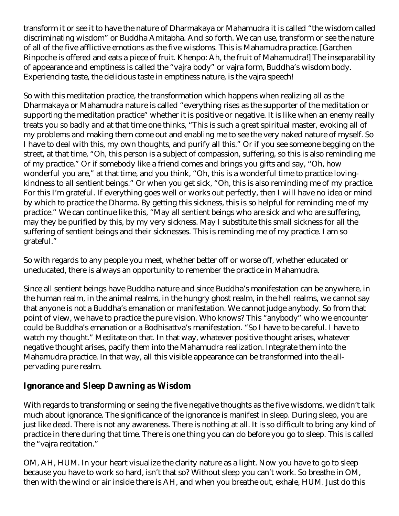transform it or see it to have the nature of Dharmakaya or Mahamudra it is called "the wisdom called discriminating wisdom" or Buddha Amitabha. And so forth. We can use, transform or see the nature of all of the five afflictive emotions as the five wisdoms. This is Mahamudra practice. [Garchen Rinpoche is offered and eats a piece of fruit. Khenpo: Ah, the fruit of Mahamudra!] The inseparability of appearance and emptiness is called the "vajra body" or vajra form, Buddha's wisdom body. Experiencing taste, the delicious taste in emptiness nature, is the vajra speech!

So with this meditation practice, the transformation which happens when realizing all as the Dharmakaya or Mahamudra nature is called "everything rises as the supporter of the meditation or supporting the meditation practice" whether it is positive or negative. It is like when an enemy really treats you so badly and at that time one thinks, "This is such a great spiritual master, evoking all of my problems and making them come out and enabling me to see the very naked nature of myself. So I have to deal with this, my own thoughts, and purify all this." Or if you see someone begging on the street, at that time, "Oh, this person is a subject of compassion, suffering, so this is also reminding me of my practice." Or if somebody like a friend comes and brings you gifts and say, "Oh, how wonderful you are," at that time, and you think, "Oh, this is a wonderful time to practice lovingkindness to all sentient beings." Or when you get sick, "Oh, this is also reminding me of my practice. For this I'm grateful. If everything goes well or works out perfectly, then I will have no idea or mind by which to practice the Dharma. By getting this sickness, this is so helpful for reminding me of my practice." We can continue like this, "May all sentient beings who are sick and who are suffering, may they be purified by this, by my very sickness. May I substitute this small sickness for all the suffering of sentient beings and their sicknesses. This is reminding me of my practice. I am so grateful."

So with regards to any people you meet, whether better off or worse off, whether educated or uneducated, there is always an opportunity to remember the practice in Mahamudra.

Since all sentient beings have Buddha nature and since Buddha's manifestation can be anywhere, in the human realm, in the animal realms, in the hungry ghost realm, in the hell realms, we cannot say that anyone is not a Buddha's emanation or manifestation. We cannot judge anybody. So from that point of view, we have to practice the pure vision. Who knows? This "anybody" who we encounter could be Buddha's emanation or a Bodhisattva's manifestation. "So I have to be careful. I have to watch my thought." Meditate on that. In that way, whatever positive thought arises, whatever negative thought arises, pacify them into the Mahamudra realization. Integrate them into the Mahamudra practice. In that way, all this visible appearance can be transformed into the allpervading pure realm.

#### **Ignorance and Sleep Dawning as Wisdom**

With regards to transforming or seeing the five negative thoughts as the five wisdoms, we didn't talk much about ignorance. The significance of the ignorance is manifest in sleep. During sleep, you are just like dead. There is not any awareness. There is nothing at all. It is so difficult to bring any kind of practice in there during that time. There is one thing you can do before you go to sleep. This is called the "vajra recitation."

OM, AH, HUM. In your heart visualize the clarity nature as a light. Now you have to go to sleep because you have to work so hard, isn't that so? Without sleep you can't work. So breathe in OM, then with the wind or air inside there is AH, and when you breathe out, exhale, HUM. Just do this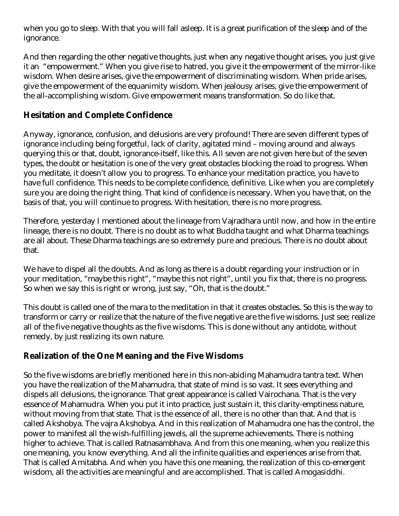when you go to sleep. With that you will fall asleep. It is a great purification of the sleep and of the ignorance.

And then regarding the other negative thoughts, just when any negative thought arises, you just give it an "empowerment." When you give rise to hatred, you give it the empowerment of the mirror-like wisdom. When desire arises, give the empowerment of discriminating wisdom. When pride arises, give the empowerment of the equanimity wisdom. When jealousy arises, give the empowerment of the all-accomplishing wisdom. Give empowerment means transformation. So do like that.

#### **Hesitation and Complete Confidence**

Anyway, ignorance, confusion, and delusions are very profound! There are seven different types of ignorance including being forgetful, lack of clarity, agitated mind – moving around and always querying this or that, doubt, ignorance-itself, like this. All seven are not given here but of the seven types, the doubt or hesitation is one of the very great obstacles blocking the road to progress. When you meditate, it doesn't allow you to progress. To enhance your meditation practice, you have to have full confidence. This needs to be complete confidence, definitive. Like when you are completely sure you are doing the right thing. That kind of confidence is necessary. When you have that, on the basis of that, you will continue to progress. With hesitation, there is no more progress.

Therefore, yesterday I mentioned about the lineage from Vajradhara until now, and how in the entire lineage, there is no doubt. There is no doubt as to what Buddha taught and what Dharma teachings are all about. These Dharma teachings are so extremely pure and precious. There is no doubt about that.

We have to dispel all the doubts. And as long as there is a doubt regarding your instruction or in your meditation, "maybe this right", "maybe this not right", until you fix that, there is no progress. So when we say this is right or wrong, just say, "Oh, that is the doubt."

This doubt is called one of the mara to the meditation in that it creates obstacles. So this is the way to transform or carry or realize that the nature of the five negative are the five wisdoms. Just see; realize all of the five negative thoughts as the five wisdoms. This is done without any antidote, without remedy, by just realizing its own nature.

#### **Realization of the One Meaning and the Five Wisdoms**

So the five wisdoms are briefly mentioned here in this non-abiding Mahamudra tantra text. When you have the realization of the Mahamudra, that state of mind is so vast. It sees everything and dispels all delusions, the ignorance. That great appearance is called Vairochana. That is the very essence of Mahamudra. When you put it into practice, just sustain it, this clarity-emptiness nature, without moving from that state. That is the essence of all, there is no other than that. And that is called Akshobya. The vajra Akshobya. And in this realization of Mahamudra one has the control, the power to manifest all the wish-fulfilling jewels, all the supreme achievements. There is nothing higher to achieve. That is called Ratnasambhava. And from this one meaning, when you realize this one meaning, you know everything. And all the infinite qualities and experiences arise from that. That is called Amitabha. And when you have this one meaning, the realization of this co-emergent wisdom, all the activities are meaningful and are accomplished. That is called Amogasiddhi.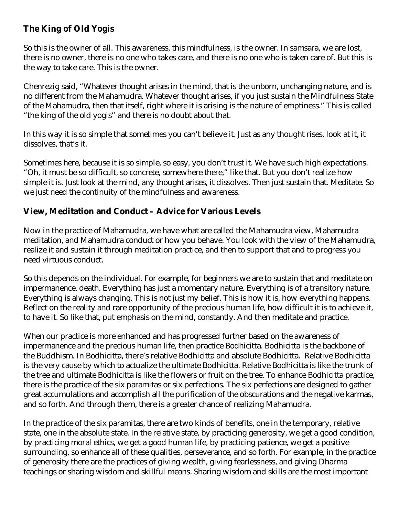#### **The King of Old Yogis**

So this is the owner of all. This awareness, this mindfulness, is the owner. In samsara, we are lost, there is no owner, there is no one who takes care, and there is no one who is taken care of. But this is the way to take care. This is the owner.

Chenrezig said, "Whatever thought arises in the mind, that is the unborn, unchanging nature, and is no different from the Mahamudra. Whatever thought arises, if you just sustain the Mindfulness State of the Mahamudra, then that itself, right where it is arising is the nature of emptiness." This is called "the king of the old yogis" and there is no doubt about that.

In this way it is so simple that sometimes you can't believe it. Just as any thought rises, look at it, it dissolves, that's it.

Sometimes here, because it is so simple, so easy, you don't trust it. We have such high expectations. "Oh, it must be so difficult, so concrete, somewhere there," like that. But you don't realize how simple it is. Just look at the mind, any thought arises, it dissolves. Then just sustain that. Meditate. So we just need the continuity of the mindfulness and awareness.

#### **View, Meditation and Conduct – Advice for Various Levels**

Now in the practice of Mahamudra, we have what are called the Mahamudra view, Mahamudra meditation, and Mahamudra conduct or how you behave. You look with the view of the Mahamudra, realize it and sustain it through meditation practice, and then to support that and to progress you need virtuous conduct.

So this depends on the individual. For example, for beginners we are to sustain that and meditate on impermanence, death. Everything has just a momentary nature. Everything is of a transitory nature. Everything is always changing. This is not just my belief. This is how it is, how everything happens. Reflect on the reality and rare opportunity of the precious human life, how difficult it is to achieve it, to have it. So like that, put emphasis on the mind, constantly. And then meditate and practice.

When our practice is more enhanced and has progressed further based on the awareness of impermanence and the precious human life, then practice Bodhicitta. Bodhicitta is the backbone of the Buddhism. In Bodhicitta, there's relative Bodhicitta and absolute Bodhicitta. Relative Bodhicitta is the very cause by which to actualize the ultimate Bodhicitta. Relative Bodhicitta is like the trunk of the tree and ultimate Bodhicitta is like the flowers or fruit on the tree. To enhance Bodhicitta practice, there is the practice of the six paramitas or six perfections. The six perfections are designed to gather great accumulations and accomplish all the purification of the obscurations and the negative karmas, and so forth. And through them, there is a greater chance of realizing Mahamudra.

In the practice of the six paramitas, there are two kinds of benefits, one in the temporary, relative state, one in the absolute state. In the relative state, by practicing generosity, we get a good condition, by practicing moral ethics, we get a good human life, by practicing patience, we get a positive surrounding, so enhance all of these qualities, perseverance, and so forth. For example, in the practice of generosity there are the practices of giving wealth, giving fearlessness, and giving Dharma teachings or sharing wisdom and skillful means. Sharing wisdom and skills are the most important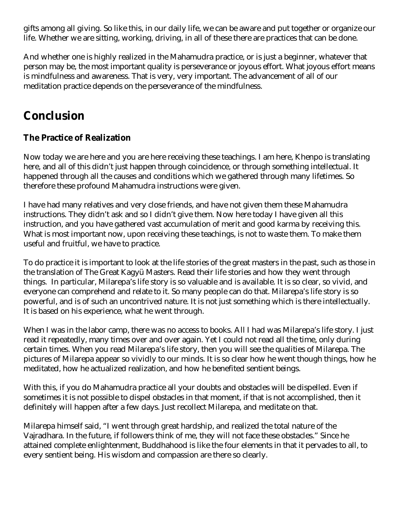gifts among all giving. So like this, in our daily life, we can be aware and put together or organize our life. Whether we are sitting, working, driving, in all of these there are practices that can be done.

And whether one is highly realized in the Mahamudra practice, or is just a beginner, whatever that person may be, the most important quality is perseverance or joyous effort. What joyous effort means is mindfulness and awareness. That is very, very important. The advancement of all of our meditation practice depends on the perseverance of the mindfulness.

# **Conclusion**

#### **The Practice of Realization**

Now today we are here and you are here receiving these teachings. I am here, Khenpo is translating here, and all of this didn't just happen through coincidence, or through something intellectual. It happened through all the causes and conditions which we gathered through many lifetimes. So therefore these profound Mahamudra instructions were given.

I have had many relatives and very close friends, and have not given them these Mahamudra instructions. They didn't ask and so I didn't give them. Now here today I have given all this instruction, and you have gathered vast accumulation of merit and good karma by receiving this. What is most important now, upon receiving these teachings, is not to waste them. To make them useful and fruitful, we have to practice.

To do practice it is important to look at the life stories of the great masters in the past, such as those in the translation of The Great Kagyü Masters. Read their life stories and how they went through things. In particular, Milarepa's life story is so valuable and is available. It is so clear, so vivid, and everyone can comprehend and relate to it. So many people can do that. Milarepa's life story is so powerful, and is of such an uncontrived nature. It is not just something which is there intellectually. It is based on his experience, what he went through.

When I was in the labor camp, there was no access to books. All I had was Milarepa's life story. I just read it repeatedly, many times over and over again. Yet I could not read all the time, only during certain times. When you read Milarepa's life story, then you will see the qualities of Milarepa. The pictures of Milarepa appear so vividly to our minds. It is so clear how he went though things, how he meditated, how he actualized realization, and how he benefited sentient beings.

With this, if you do Mahamudra practice all your doubts and obstacles will be dispelled. Even if sometimes it is not possible to dispel obstacles in that moment, if that is not accomplished, then it definitely will happen after a few days. Just recollect Milarepa, and meditate on that.

Milarepa himself said, "I went through great hardship, and realized the total nature of the Vajradhara. In the future, if followers think of me, they will not face these obstacles." Since he attained complete enlightenment, Buddhahood is like the four elements in that it pervades to all, to every sentient being. His wisdom and compassion are there so clearly.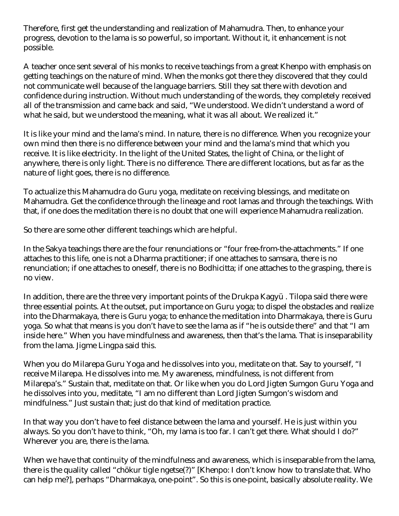Therefore, first get the understanding and realization of Mahamudra. Then, to enhance your progress, devotion to the lama is so powerful, so important. Without it, it enhancement is not possible.

A teacher once sent several of his monks to receive teachings from a great Khenpo with emphasis on getting teachings on the nature of mind. When the monks got there they discovered that they could not communicate well because of the language barriers. Still they sat there with devotion and confidence during instruction. Without much understanding of the words, they completely received all of the transmission and came back and said, "We understood. We didn't understand a word of what he said, but we understood the meaning, what it was all about. We realized it."

It is like your mind and the lama's mind. In nature, there is no difference. When you recognize your own mind then there is no difference between your mind and the lama's mind that which you receive. It is like electricity. In the light of the United States, the light of China, or the light of anywhere, there is only light. There is no difference. There are different locations, but as far as the nature of light goes, there is no difference.

To actualize this Mahamudra do Guru yoga, meditate on receiving blessings, and meditate on Mahamudra. Get the confidence through the lineage and root lamas and through the teachings. With that, if one does the meditation there is no doubt that one will experience Mahamudra realization.

So there are some other different teachings which are helpful.

In the Sakya teachings there are the four renunciations or "four free-from-the-attachments." If one attaches to this life, one is not a Dharma practitioner; if one attaches to samsara, there is no renunciation; if one attaches to oneself, there is no Bodhicitta; if one attaches to the grasping, there is no view.

In addition, there are the three very important points of the Drukpa Kagyü . Tilopa said there were three essential points. At the outset, put importance on Guru yoga; to dispel the obstacles and realize into the Dharmakaya, there is Guru yoga; to enhance the meditation into Dharmakaya, there is Guru yoga. So what that means is you don't have to see the lama as if "he is outside there" and that "I am inside here." When you have mindfulness and awareness, then that's the lama. That is inseparability from the lama. Jigme Lingpa said this.

When you do Milarepa Guru Yoga and he dissolves into you, meditate on that. Say to yourself, "I receive Milarepa. He dissolves into me. My awareness, mindfulness, is not different from Milarepa's." Sustain that, meditate on that. Or like when you do Lord Jigten Sumgon Guru Yoga and he dissolves into you, meditate, "I am no different than Lord Jigten Sumgon's wisdom and mindfulness." Just sustain that; just do that kind of meditation practice.

In that way you don't have to feel distance between the lama and yourself. He is just within you always. So you don't have to think, "Oh, my lama is too far. I can't get there. What should I do?" Wherever you are, there is the lama.

When we have that continuity of the mindfulness and awareness, which is inseparable from the lama, there is the quality called "chökur tigle ngetse(?)" [Khenpo: I don't know how to translate that. Who can help me?], perhaps "Dharmakaya, one-point". So this is one-point, basically absolute reality. We